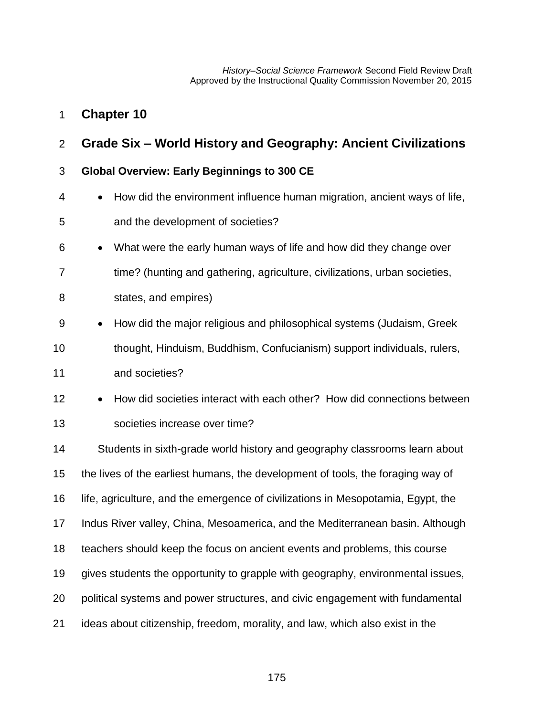## **Chapter 10**

# **Grade Six – World History and Geography: Ancient Civilizations**

### **Global Overview: Early Beginnings to 300 CE**

- How did the environment influence human migration, ancient ways of life,
- and the development of societies?
- What were the early human ways of life and how did they change over
- time? (hunting and gathering, agriculture, civilizations, urban societies,
- states, and empires)
- How did the major religious and philosophical systems (Judaism, Greek
- thought, Hinduism, Buddhism, Confucianism) support individuals, rulers,

and societies?

12 • How did societies interact with each other? How did connections between societies increase over time?

 Students in sixth-grade world history and geography classrooms learn about the lives of the earliest humans, the development of tools, the foraging way of life, agriculture, and the emergence of civilizations in Mesopotamia, Egypt, the Indus River valley, China, Mesoamerica, and the Mediterranean basin. Although teachers should keep the focus on ancient events and problems, this course gives students the opportunity to grapple with geography, environmental issues, political systems and power structures, and civic engagement with fundamental ideas about citizenship, freedom, morality, and law, which also exist in the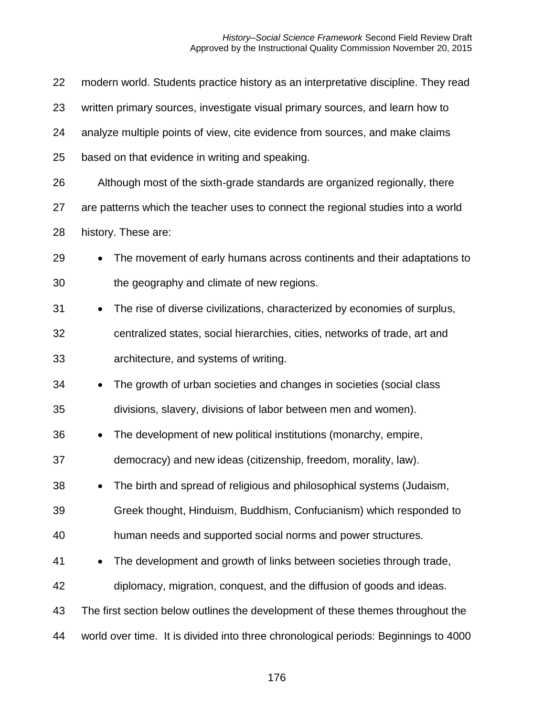| 22 | modern world. Students practice history as an interpretative discipline. They read     |
|----|----------------------------------------------------------------------------------------|
| 23 | written primary sources, investigate visual primary sources, and learn how to          |
| 24 | analyze multiple points of view, cite evidence from sources, and make claims           |
| 25 | based on that evidence in writing and speaking.                                        |
| 26 | Although most of the sixth-grade standards are organized regionally, there             |
| 27 | are patterns which the teacher uses to connect the regional studies into a world       |
| 28 | history. These are:                                                                    |
| 29 | The movement of early humans across continents and their adaptations to<br>$\bullet$   |
| 30 | the geography and climate of new regions.                                              |
| 31 | The rise of diverse civilizations, characterized by economies of surplus,<br>$\bullet$ |
| 32 | centralized states, social hierarchies, cities, networks of trade, art and             |
| 33 | architecture, and systems of writing.                                                  |
| 34 | The growth of urban societies and changes in societies (social class<br>$\bullet$      |
| 35 | divisions, slavery, divisions of labor between men and women).                         |
| 36 | The development of new political institutions (monarchy, empire,<br>$\bullet$          |
| 37 | democracy) and new ideas (citizenship, freedom, morality, law).                        |
| 38 | The birth and spread of religious and philosophical systems (Judaism,<br>٠             |
| 39 | Greek thought, Hinduism, Buddhism, Confucianism) which responded to                    |
| 40 | human needs and supported social norms and power structures.                           |
| 41 | The development and growth of links between societies through trade,<br>$\bullet$      |
| 42 | diplomacy, migration, conquest, and the diffusion of goods and ideas.                  |
| 43 | The first section below outlines the development of these themes throughout the        |
| 44 | world over time. It is divided into three chronological periods: Beginnings to 4000    |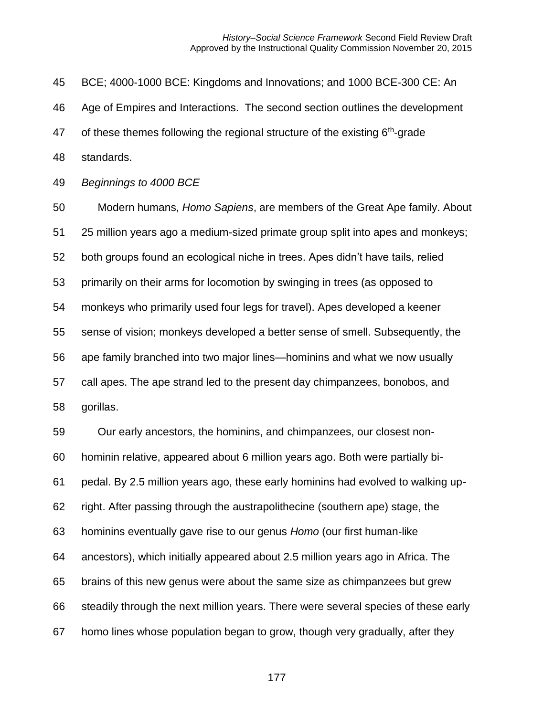BCE; 4000-1000 BCE: Kingdoms and Innovations; and 1000 BCE-300 CE: An Age of Empires and Interactions. The second section outlines the development 47 of these themes following the regional structure of the existing  $6<sup>th</sup>$ -grade standards. *Beginnings to 4000 BCE* Modern humans, *Homo Sapiens*, are members of the Great Ape family. About 25 million years ago a medium-sized primate group split into apes and monkeys; both groups found an ecological niche in trees. Apes didn't have tails, relied primarily on their arms for locomotion by swinging in trees (as opposed to monkeys who primarily used four legs for travel). Apes developed a keener sense of vision; monkeys developed a better sense of smell. Subsequently, the ape family branched into two major lines—hominins and what we now usually call apes. The ape strand led to the present day chimpanzees, bonobos, and gorillas. Our early ancestors, the hominins, and chimpanzees, our closest non- hominin relative, appeared about 6 million years ago. Both were partially bi- pedal. By 2.5 million years ago, these early hominins had evolved to walking up- right. After passing through the austrapolithecine (southern ape) stage, the hominins eventually gave rise to our genus *Homo* (our first human-like ancestors), which initially appeared about 2.5 million years ago in Africa. The brains of this new genus were about the same size as chimpanzees but grew steadily through the next million years. There were several species of these early homo lines whose population began to grow, though very gradually, after they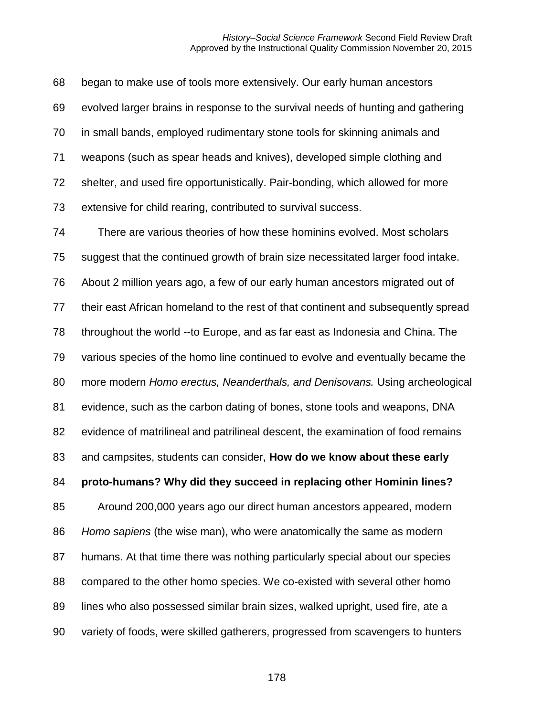began to make use of tools more extensively. Our early human ancestors evolved larger brains in response to the survival needs of hunting and gathering in small bands, employed rudimentary stone tools for skinning animals and weapons (such as spear heads and knives), developed simple clothing and shelter, and used fire opportunistically. Pair-bonding, which allowed for more extensive for child rearing, contributed to survival success.

 There are various theories of how these hominins evolved. Most scholars suggest that the continued growth of brain size necessitated larger food intake. About 2 million years ago, a few of our early human ancestors migrated out of their east African homeland to the rest of that continent and subsequently spread throughout the world --to Europe, and as far east as Indonesia and China. The various species of the homo line continued to evolve and eventually became the more modern *Homo erectus, Neanderthals, and Denisovans.* Using archeological evidence, such as the carbon dating of bones, stone tools and weapons, DNA evidence of matrilineal and patrilineal descent, the examination of food remains and campsites, students can consider, **How do we know about these early proto-humans? Why did they succeed in replacing other Hominin lines?** Around 200,000 years ago our direct human ancestors appeared, modern *Homo sapiens* (the wise man), who were anatomically the same as modern humans. At that time there was nothing particularly special about our species compared to the other homo species. We co-existed with several other homo lines who also possessed similar brain sizes, walked upright, used fire, ate a variety of foods, were skilled gatherers, progressed from scavengers to hunters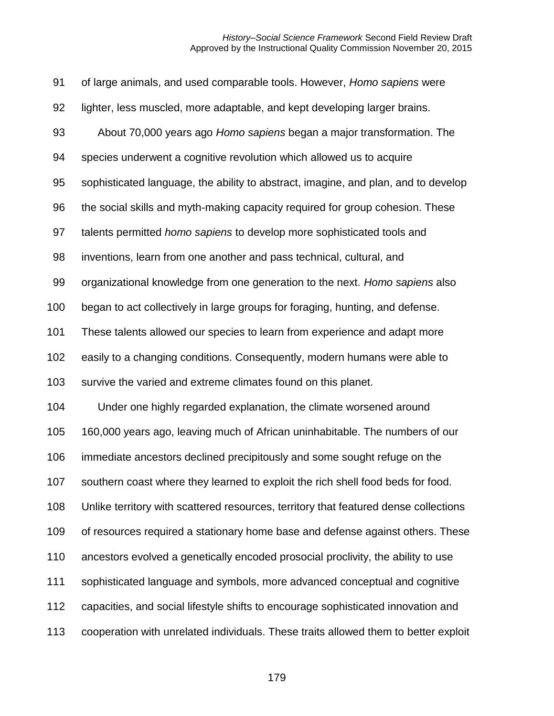| 91  | of large animals, and used comparable tools. However, Homo sapiens were              |
|-----|--------------------------------------------------------------------------------------|
| 92  | lighter, less muscled, more adaptable, and kept developing larger brains.            |
| 93  | About 70,000 years ago Homo sapiens began a major transformation. The                |
| 94  | species underwent a cognitive revolution which allowed us to acquire                 |
| 95  | sophisticated language, the ability to abstract, imagine, and plan, and to develop   |
| 96  | the social skills and myth-making capacity required for group cohesion. These        |
| 97  | talents permitted homo sapiens to develop more sophisticated tools and               |
| 98  | inventions, learn from one another and pass technical, cultural, and                 |
| 99  | organizational knowledge from one generation to the next. Homo sapiens also          |
| 100 | began to act collectively in large groups for foraging, hunting, and defense.        |
| 101 | These talents allowed our species to learn from experience and adapt more            |
| 102 | easily to a changing conditions. Consequently, modern humans were able to            |
| 103 | survive the varied and extreme climates found on this planet.                        |
| 104 | Under one highly regarded explanation, the climate worsened around                   |
| 105 | 160,000 years ago, leaving much of African uninhabitable. The numbers of our         |
| 106 | immediate ancestors declined precipitously and some sought refuge on the             |
| 107 | southern coast where they learned to exploit the rich shell food beds for food.      |
| 108 | Unlike territory with scattered resources, territory that featured dense collections |
| 109 | of resources required a stationary home base and defense against others. These       |
| 110 | ancestors evolved a genetically encoded prosocial proclivity, the ability to use     |
| 111 | sophisticated language and symbols, more advanced conceptual and cognitive           |
| 112 | capacities, and social lifestyle shifts to encourage sophisticated innovation and    |
| 113 | cooperation with unrelated individuals. These traits allowed them to better exploit  |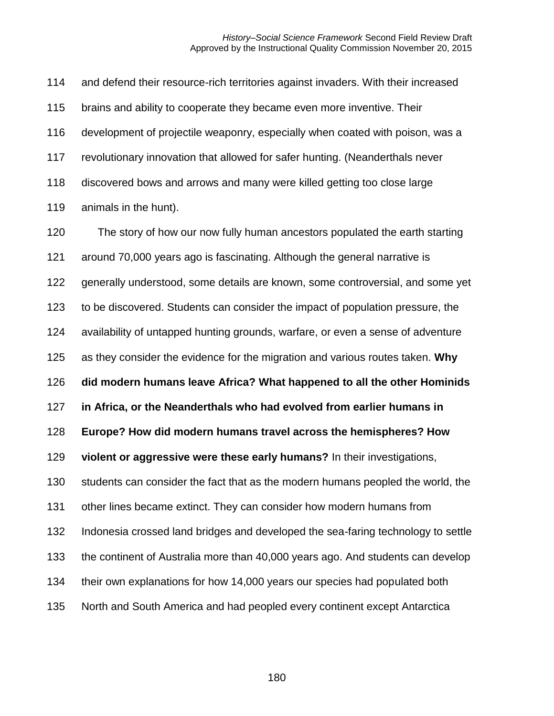and defend their resource-rich territories against invaders. With their increased brains and ability to cooperate they became even more inventive. Their development of projectile weaponry, especially when coated with poison, was a revolutionary innovation that allowed for safer hunting. (Neanderthals never discovered bows and arrows and many were killed getting too close large animals in the hunt).

 The story of how our now fully human ancestors populated the earth starting around 70,000 years ago is fascinating. Although the general narrative is generally understood, some details are known, some controversial, and some yet to be discovered. Students can consider the impact of population pressure, the availability of untapped hunting grounds, warfare, or even a sense of adventure as they consider the evidence for the migration and various routes taken. **Why did modern humans leave Africa? What happened to all the other Hominids in Africa, or the Neanderthals who had evolved from earlier humans in Europe? How did modern humans travel across the hemispheres? How violent or aggressive were these early humans?** In their investigations, students can consider the fact that as the modern humans peopled the world, the other lines became extinct. They can consider how modern humans from Indonesia crossed land bridges and developed the sea-faring technology to settle the continent of Australia more than 40,000 years ago. And students can develop their own explanations for how 14,000 years our species had populated both North and South America and had peopled every continent except Antarctica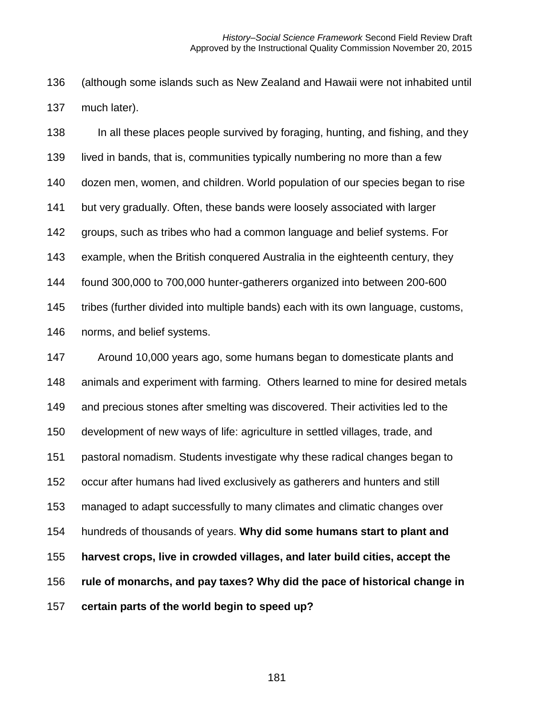(although some islands such as New Zealand and Hawaii were not inhabited until much later).

 In all these places people survived by foraging, hunting, and fishing, and they lived in bands, that is, communities typically numbering no more than a few dozen men, women, and children. World population of our species began to rise but very gradually. Often, these bands were loosely associated with larger groups, such as tribes who had a common language and belief systems. For example, when the British conquered Australia in the eighteenth century, they found 300,000 to 700,000 hunter-gatherers organized into between 200-600 tribes (further divided into multiple bands) each with its own language, customs, norms, and belief systems.

 Around 10,000 years ago, some humans began to domesticate plants and animals and experiment with farming. Others learned to mine for desired metals and precious stones after smelting was discovered. Their activities led to the development of new ways of life: agriculture in settled villages, trade, and pastoral nomadism. Students investigate why these radical changes began to occur after humans had lived exclusively as gatherers and hunters and still managed to adapt successfully to many climates and climatic changes over hundreds of thousands of years. **Why did some humans start to plant and harvest crops, live in crowded villages, and later build cities, accept the rule of monarchs, and pay taxes? Why did the pace of historical change in certain parts of the world begin to speed up?**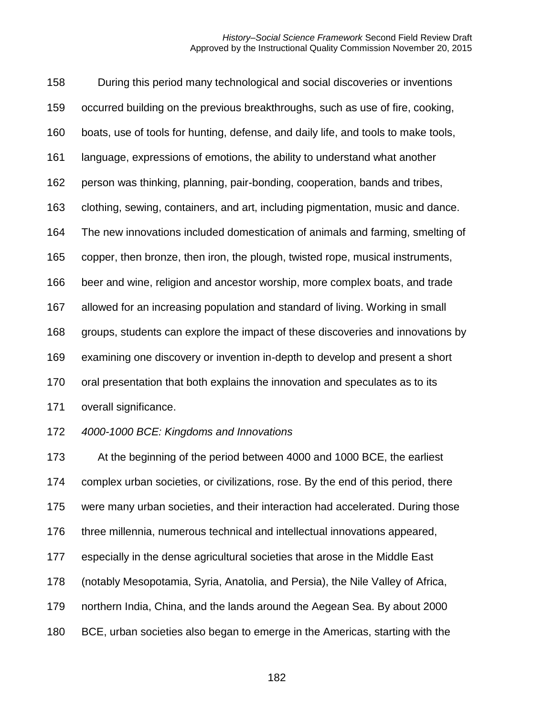During this period many technological and social discoveries or inventions occurred building on the previous breakthroughs, such as use of fire, cooking, boats, use of tools for hunting, defense, and daily life, and tools to make tools, language, expressions of emotions, the ability to understand what another person was thinking, planning, pair-bonding, cooperation, bands and tribes, clothing, sewing, containers, and art, including pigmentation, music and dance. The new innovations included domestication of animals and farming, smelting of copper, then bronze, then iron, the plough, twisted rope, musical instruments, beer and wine, religion and ancestor worship, more complex boats, and trade allowed for an increasing population and standard of living. Working in small groups, students can explore the impact of these discoveries and innovations by examining one discovery or invention in-depth to develop and present a short oral presentation that both explains the innovation and speculates as to its overall significance. *4000-1000 BCE: Kingdoms and Innovations* At the beginning of the period between 4000 and 1000 BCE, the earliest

 complex urban societies, or civilizations, rose. By the end of this period, there were many urban societies, and their interaction had accelerated. During those three millennia, numerous technical and intellectual innovations appeared, especially in the dense agricultural societies that arose in the Middle East (notably Mesopotamia, Syria, Anatolia, and Persia), the Nile Valley of Africa, northern India, China, and the lands around the Aegean Sea. By about 2000 BCE, urban societies also began to emerge in the Americas, starting with the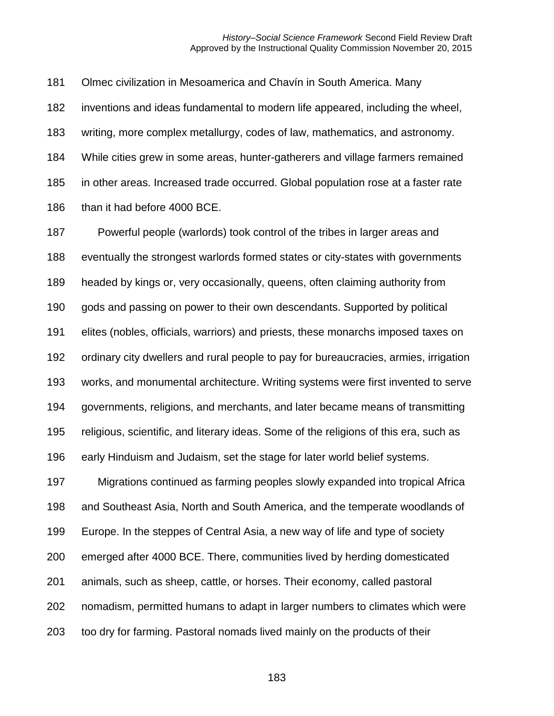Olmec civilization in Mesoamerica and Chavín in South America. Many

inventions and ideas fundamental to modern life appeared, including the wheel,

writing, more complex metallurgy, codes of law, mathematics, and astronomy.

 While cities grew in some areas, hunter-gatherers and village farmers remained in other areas. Increased trade occurred. Global population rose at a faster rate

186 than it had before 4000 BCE.

 Powerful people (warlords) took control of the tribes in larger areas and eventually the strongest warlords formed states or city-states with governments headed by kings or, very occasionally, queens, often claiming authority from gods and passing on power to their own descendants. Supported by political elites (nobles, officials, warriors) and priests, these monarchs imposed taxes on ordinary city dwellers and rural people to pay for bureaucracies, armies, irrigation works, and monumental architecture. Writing systems were first invented to serve governments, religions, and merchants, and later became means of transmitting religious, scientific, and literary ideas. Some of the religions of this era, such as early Hinduism and Judaism, set the stage for later world belief systems.

 Migrations continued as farming peoples slowly expanded into tropical Africa and Southeast Asia, North and South America, and the temperate woodlands of Europe. In the steppes of Central Asia, a new way of life and type of society emerged after 4000 BCE. There, communities lived by herding domesticated animals, such as sheep, cattle, or horses. Their economy, called pastoral nomadism, permitted humans to adapt in larger numbers to climates which were too dry for farming. Pastoral nomads lived mainly on the products of their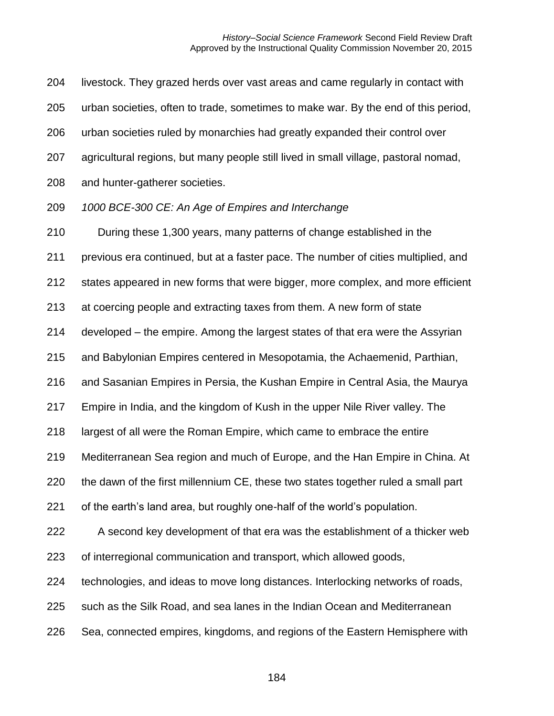livestock. They grazed herds over vast areas and came regularly in contact with

urban societies, often to trade, sometimes to make war. By the end of this period,

urban societies ruled by monarchies had greatly expanded their control over

agricultural regions, but many people still lived in small village, pastoral nomad,

and hunter-gatherer societies.

*1000 BCE-300 CE: An Age of Empires and Interchange*

During these 1,300 years, many patterns of change established in the

previous era continued, but at a faster pace. The number of cities multiplied, and

states appeared in new forms that were bigger, more complex, and more efficient

at coercing people and extracting taxes from them. A new form of state

developed – the empire. Among the largest states of that era were the Assyrian

and Babylonian Empires centered in Mesopotamia, the Achaemenid, Parthian,

and Sasanian Empires in Persia, the Kushan Empire in Central Asia, the Maurya

Empire in India, and the kingdom of Kush in the upper Nile River valley. The

largest of all were the Roman Empire, which came to embrace the entire

Mediterranean Sea region and much of Europe, and the Han Empire in China. At

the dawn of the first millennium CE, these two states together ruled a small part

of the earth's land area, but roughly one-half of the world's population.

 A second key development of that era was the establishment of a thicker web of interregional communication and transport, which allowed goods,

technologies, and ideas to move long distances. Interlocking networks of roads,

such as the Silk Road, and sea lanes in the Indian Ocean and Mediterranean

Sea, connected empires, kingdoms, and regions of the Eastern Hemisphere with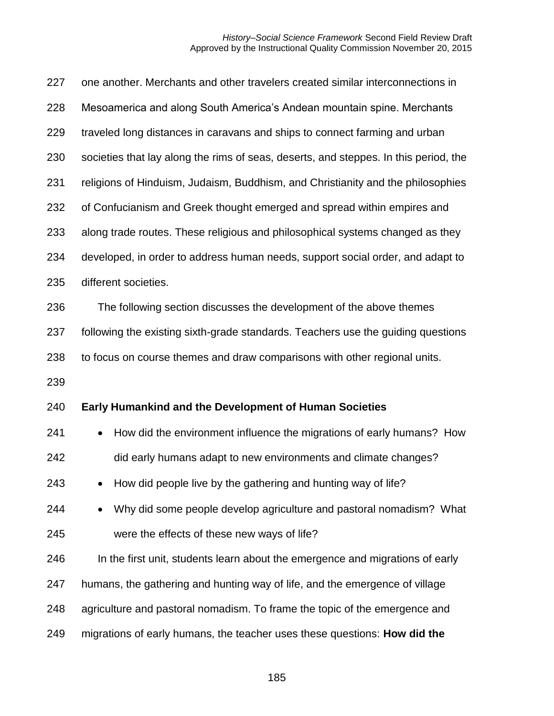| 227 | one another. Merchants and other travelers created similar interconnections in       |
|-----|--------------------------------------------------------------------------------------|
| 228 | Mesoamerica and along South America's Andean mountain spine. Merchants               |
| 229 | traveled long distances in caravans and ships to connect farming and urban           |
| 230 | societies that lay along the rims of seas, deserts, and steppes. In this period, the |
| 231 | religions of Hinduism, Judaism, Buddhism, and Christianity and the philosophies      |
| 232 | of Confucianism and Greek thought emerged and spread within empires and              |
| 233 | along trade routes. These religious and philosophical systems changed as they        |
| 234 | developed, in order to address human needs, support social order, and adapt to       |
| 235 | different societies.                                                                 |
| 236 | The following section discusses the development of the above themes                  |
| 237 | following the existing sixth-grade standards. Teachers use the guiding questions     |
| 238 | to focus on course themes and draw comparisons with other regional units.            |
| 239 |                                                                                      |
| 240 | <b>Early Humankind and the Development of Human Societies</b>                        |
| 241 | How did the environment influence the migrations of early humans? How<br>$\bullet$   |
| 242 | did early humans adapt to new environments and climate changes?                      |
| 243 | How did people live by the gathering and hunting way of life?                        |
| 244 | Why did some people develop agriculture and pastoral nomadism? What                  |
| 245 | were the effects of these new ways of life?                                          |
| 246 | In the first unit, students learn about the emergence and migrations of early        |
| 247 | humans, the gathering and hunting way of life, and the emergence of village          |
| 248 | agriculture and pastoral nomadism. To frame the topic of the emergence and           |
| 249 | migrations of early humans, the teacher uses these questions: How did the            |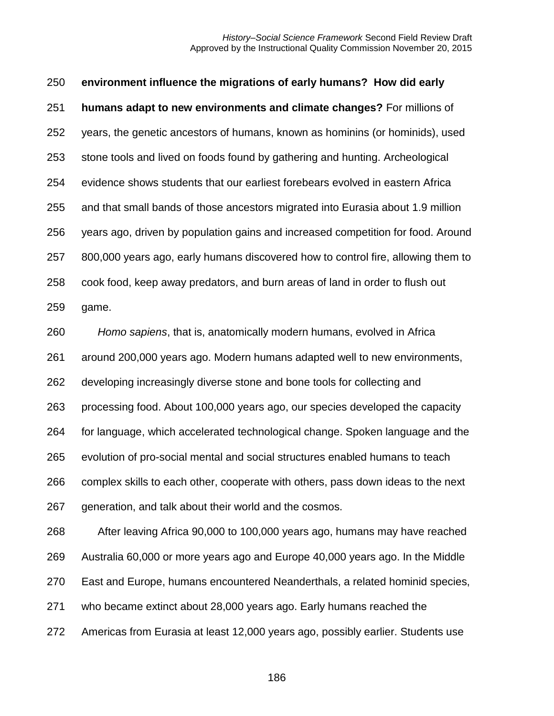| 250 | environment influence the migrations of early humans? How did early              |
|-----|----------------------------------------------------------------------------------|
| 251 | humans adapt to new environments and climate changes? For millions of            |
| 252 | years, the genetic ancestors of humans, known as hominins (or hominids), used    |
| 253 | stone tools and lived on foods found by gathering and hunting. Archeological     |
| 254 | evidence shows students that our earliest forebears evolved in eastern Africa    |
| 255 | and that small bands of those ancestors migrated into Eurasia about 1.9 million  |
| 256 | years ago, driven by population gains and increased competition for food. Around |
| 257 | 800,000 years ago, early humans discovered how to control fire, allowing them to |
| 258 | cook food, keep away predators, and burn areas of land in order to flush out     |
| 259 | game.                                                                            |
| 260 | Homo sapiens, that is, anatomically modern humans, evolved in Africa             |
| 261 | around 200,000 years ago. Modern humans adapted well to new environments,        |
| 262 | developing increasingly diverse stone and bone tools for collecting and          |
| 263 | processing food. About 100,000 years ago, our species developed the capacity     |
| 264 | for language, which accelerated technological change. Spoken language and the    |
| 265 | evolution of pro-social mental and social structures enabled humans to teach     |
| 266 | complex skills to each other, cooperate with others, pass down ideas to the next |
| 267 | generation, and talk about their world and the cosmos.                           |
| 268 | After leaving Africa 90,000 to 100,000 years ago, humans may have reached        |
| 269 | Australia 60,000 or more years ago and Europe 40,000 years ago. In the Middle    |
| 270 | East and Europe, humans encountered Neanderthals, a related hominid species,     |
| 271 | who became extinct about 28,000 years ago. Early humans reached the              |
| 272 | Americas from Eurasia at least 12,000 years ago, possibly earlier. Students use  |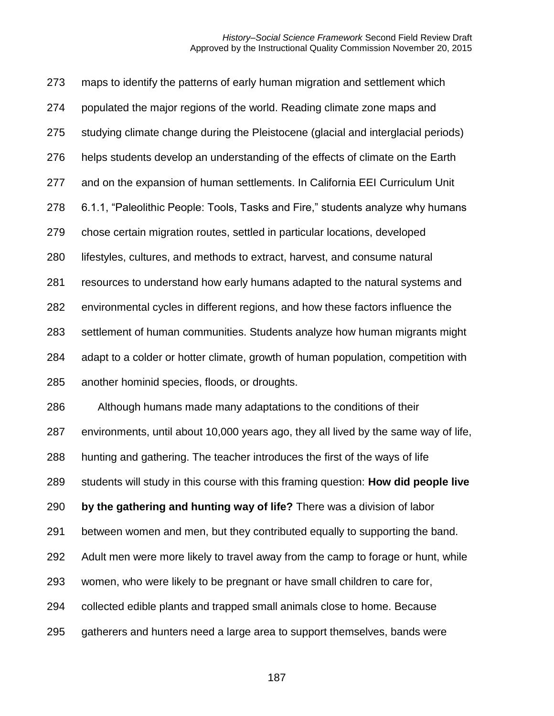maps to identify the patterns of early human migration and settlement which populated the major regions of the world. Reading climate zone maps and studying climate change during the Pleistocene (glacial and interglacial periods) helps students develop an understanding of the effects of climate on the Earth and on the expansion of human settlements. In California EEI Curriculum Unit 6.1.1, "Paleolithic People: Tools, Tasks and Fire," students analyze why humans chose certain migration routes, settled in particular locations, developed lifestyles, cultures, and methods to extract, harvest, and consume natural resources to understand how early humans adapted to the natural systems and environmental cycles in different regions, and how these factors influence the settlement of human communities. Students analyze how human migrants might adapt to a colder or hotter climate, growth of human population, competition with another hominid species, floods, or droughts. Although humans made many adaptations to the conditions of their environments, until about 10,000 years ago, they all lived by the same way of life, hunting and gathering. The teacher introduces the first of the ways of life students will study in this course with this framing question: **How did people live by the gathering and hunting way of life?** There was a division of labor between women and men, but they contributed equally to supporting the band. Adult men were more likely to travel away from the camp to forage or hunt, while women, who were likely to be pregnant or have small children to care for, collected edible plants and trapped small animals close to home. Because gatherers and hunters need a large area to support themselves, bands were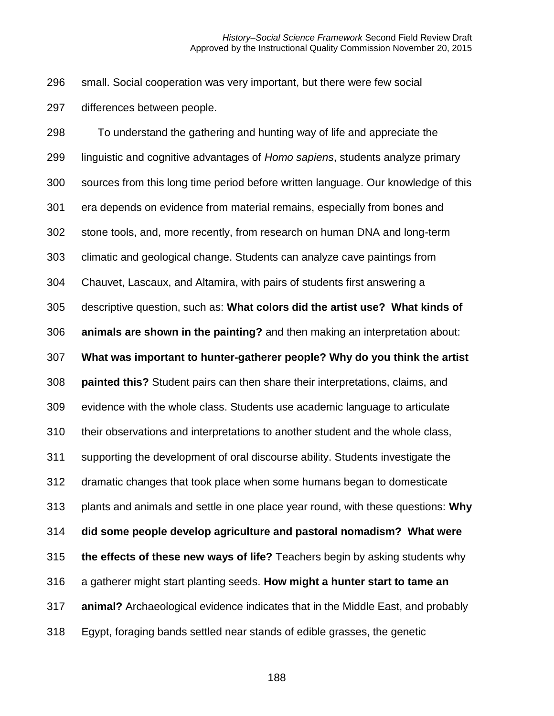small. Social cooperation was very important, but there were few social differences between people.

 To understand the gathering and hunting way of life and appreciate the linguistic and cognitive advantages of *Homo sapiens*, students analyze primary sources from this long time period before written language. Our knowledge of this era depends on evidence from material remains, especially from bones and stone tools, and, more recently, from research on human DNA and long-term climatic and geological change. Students can analyze cave paintings from Chauvet, Lascaux, and Altamira, with pairs of students first answering a descriptive question, such as: **What colors did the artist use? What kinds of animals are shown in the painting?** and then making an interpretation about: **What was important to hunter-gatherer people? Why do you think the artist painted this?** Student pairs can then share their interpretations, claims, and evidence with the whole class. Students use academic language to articulate their observations and interpretations to another student and the whole class, supporting the development of oral discourse ability. Students investigate the dramatic changes that took place when some humans began to domesticate plants and animals and settle in one place year round, with these questions: **Why did some people develop agriculture and pastoral nomadism? What were the effects of these new ways of life?** Teachers begin by asking students why a gatherer might start planting seeds. **How might a hunter start to tame an animal?** Archaeological evidence indicates that in the Middle East, and probably Egypt, foraging bands settled near stands of edible grasses, the genetic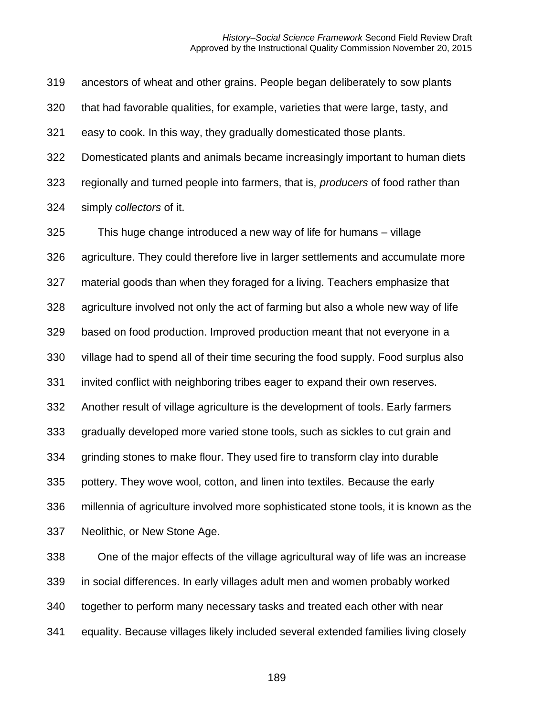ancestors of wheat and other grains. People began deliberately to sow plants that had favorable qualities, for example, varieties that were large, tasty, and easy to cook. In this way, they gradually domesticated those plants. Domesticated plants and animals became increasingly important to human diets regionally and turned people into farmers, that is, *producers* of food rather than simply *collectors* of it.

 This huge change introduced a new way of life for humans – village agriculture. They could therefore live in larger settlements and accumulate more material goods than when they foraged for a living. Teachers emphasize that agriculture involved not only the act of farming but also a whole new way of life based on food production. Improved production meant that not everyone in a village had to spend all of their time securing the food supply. Food surplus also invited conflict with neighboring tribes eager to expand their own reserves. Another result of village agriculture is the development of tools. Early farmers gradually developed more varied stone tools, such as sickles to cut grain and grinding stones to make flour. They used fire to transform clay into durable pottery. They wove wool, cotton, and linen into textiles. Because the early millennia of agriculture involved more sophisticated stone tools, it is known as the Neolithic, or New Stone Age.

 One of the major effects of the village agricultural way of life was an increase in social differences. In early villages adult men and women probably worked together to perform many necessary tasks and treated each other with near equality. Because villages likely included several extended families living closely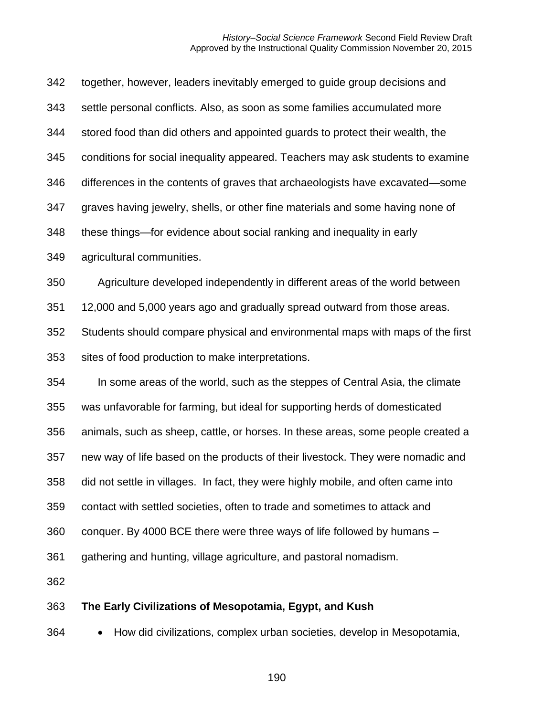| 363 | The Early Civilizations of Mesopotamia, Egypt, and Kush                           |
|-----|-----------------------------------------------------------------------------------|
| 362 |                                                                                   |
| 361 | gathering and hunting, village agriculture, and pastoral nomadism.                |
| 360 | conquer. By 4000 BCE there were three ways of life followed by humans -           |
| 359 | contact with settled societies, often to trade and sometimes to attack and        |
| 358 | did not settle in villages. In fact, they were highly mobile, and often came into |
| 357 | new way of life based on the products of their livestock. They were nomadic and   |
| 356 | animals, such as sheep, cattle, or horses. In these areas, some people created a  |
| 355 | was unfavorable for farming, but ideal for supporting herds of domesticated       |
| 354 | In some areas of the world, such as the steppes of Central Asia, the climate      |
| 353 | sites of food production to make interpretations.                                 |
| 352 | Students should compare physical and environmental maps with maps of the first    |
| 351 | 12,000 and 5,000 years ago and gradually spread outward from those areas.         |
| 350 | Agriculture developed independently in different areas of the world between       |
| 349 | agricultural communities.                                                         |
| 348 | these things—for evidence about social ranking and inequality in early            |
| 347 | graves having jewelry, shells, or other fine materials and some having none of    |
| 346 | differences in the contents of graves that archaeologists have excavated—some     |
| 345 | conditions for social inequality appeared. Teachers may ask students to examine   |
| 344 | stored food than did others and appointed guards to protect their wealth, the     |
| 343 | settle personal conflicts. Also, as soon as some families accumulated more        |
| 342 | together, however, leaders inevitably emerged to guide group decisions and        |

• How did civilizations, complex urban societies, develop in Mesopotamia,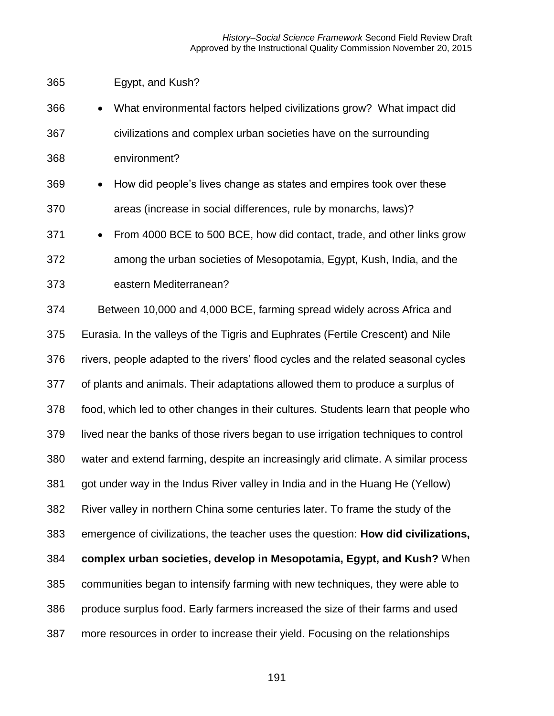| 365 | Egypt, and Kush? |
|-----|------------------|
|     |                  |

| 366 | • What environmental factors helped civilizations grow? What impact did |
|-----|-------------------------------------------------------------------------|
| 367 | civilizations and complex urban societies have on the surrounding       |
| 368 | environment?                                                            |

 • How did people's lives change as states and empires took over these areas (increase in social differences, rule by monarchs, laws)?

 • From 4000 BCE to 500 BCE, how did contact, trade, and other links grow among the urban societies of Mesopotamia, Egypt, Kush, India, and the eastern Mediterranean?

 Between 10,000 and 4,000 BCE, farming spread widely across Africa and Eurasia. In the valleys of the Tigris and Euphrates (Fertile Crescent) and Nile rivers, people adapted to the rivers' flood cycles and the related seasonal cycles of plants and animals. Their adaptations allowed them to produce a surplus of food, which led to other changes in their cultures. Students learn that people who lived near the banks of those rivers began to use irrigation techniques to control water and extend farming, despite an increasingly arid climate. A similar process got under way in the Indus River valley in India and in the Huang He (Yellow) River valley in northern China some centuries later. To frame the study of the emergence of civilizations, the teacher uses the question: **How did civilizations, complex urban societies, develop in Mesopotamia, Egypt, and Kush?** When communities began to intensify farming with new techniques, they were able to produce surplus food. Early farmers increased the size of their farms and used more resources in order to increase their yield. Focusing on the relationships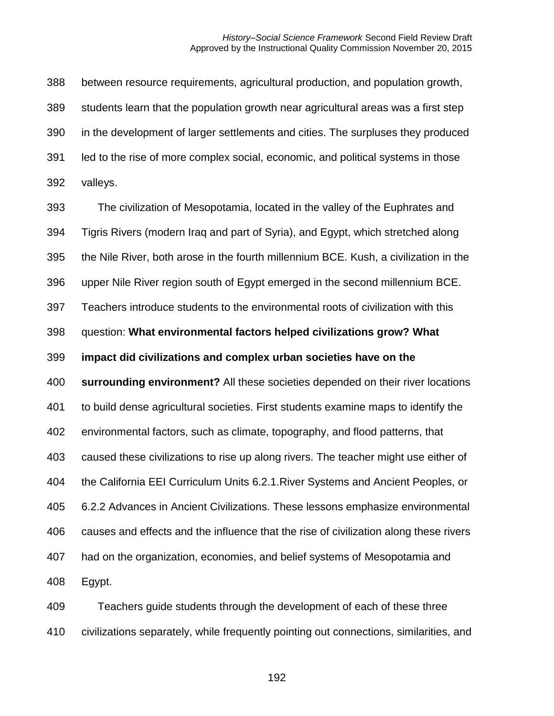between resource requirements, agricultural production, and population growth, students learn that the population growth near agricultural areas was a first step in the development of larger settlements and cities. The surpluses they produced led to the rise of more complex social, economic, and political systems in those valleys.

 The civilization of Mesopotamia, located in the valley of the Euphrates and Tigris Rivers (modern Iraq and part of Syria), and Egypt, which stretched along the Nile River, both arose in the fourth millennium BCE. Kush, a civilization in the upper Nile River region south of Egypt emerged in the second millennium BCE. Teachers introduce students to the environmental roots of civilization with this question: **What environmental factors helped civilizations grow? What impact did civilizations and complex urban societies have on the surrounding environment?** All these societies depended on their river locations to build dense agricultural societies. First students examine maps to identify the environmental factors, such as climate, topography, and flood patterns, that caused these civilizations to rise up along rivers. The teacher might use either of the California EEI Curriculum Units 6.2.1.River Systems and Ancient Peoples, or 6.2.2 Advances in Ancient Civilizations. These lessons emphasize environmental causes and effects and the influence that the rise of civilization along these rivers had on the organization, economies, and belief systems of Mesopotamia and Egypt.

 Teachers guide students through the development of each of these three civilizations separately, while frequently pointing out connections, similarities, and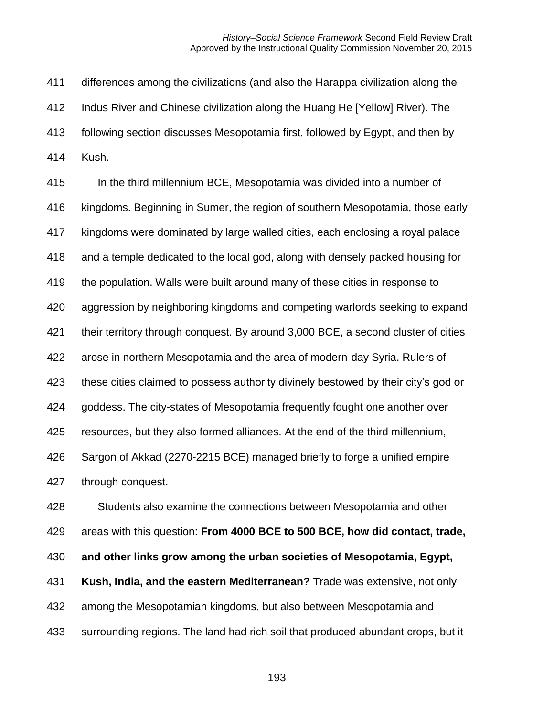differences among the civilizations (and also the Harappa civilization along the Indus River and Chinese civilization along the Huang He [Yellow] River). The following section discusses Mesopotamia first, followed by Egypt, and then by Kush.

 In the third millennium BCE, Mesopotamia was divided into a number of kingdoms. Beginning in Sumer, the region of southern Mesopotamia, those early kingdoms were dominated by large walled cities, each enclosing a royal palace and a temple dedicated to the local god, along with densely packed housing for the population. Walls were built around many of these cities in response to aggression by neighboring kingdoms and competing warlords seeking to expand their territory through conquest. By around 3,000 BCE, a second cluster of cities arose in northern Mesopotamia and the area of modern-day Syria. Rulers of these cities claimed to possess authority divinely bestowed by their city's god or goddess. The city-states of Mesopotamia frequently fought one another over resources, but they also formed alliances. At the end of the third millennium, Sargon of Akkad (2270-2215 BCE) managed briefly to forge a unified empire through conquest. Students also examine the connections between Mesopotamia and other areas with this question: **From 4000 BCE to 500 BCE, how did contact, trade, and other links grow among the urban societies of Mesopotamia, Egypt,** 

**Kush, India, and the eastern Mediterranean?** Trade was extensive, not only

among the Mesopotamian kingdoms, but also between Mesopotamia and

surrounding regions. The land had rich soil that produced abundant crops, but it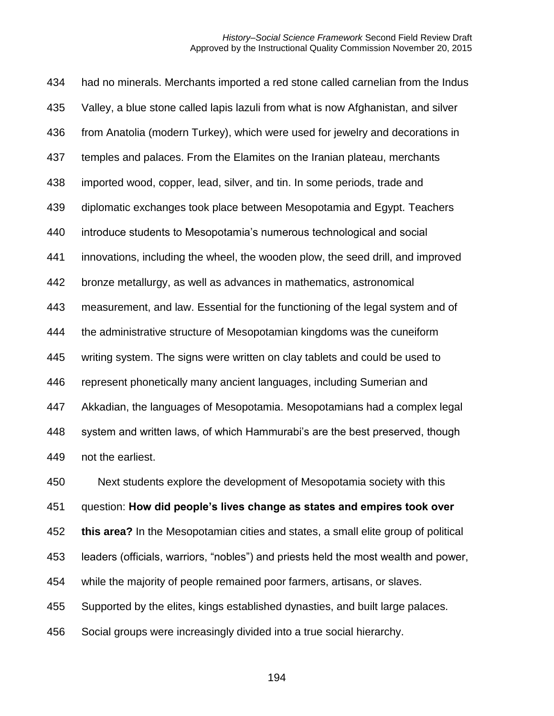had no minerals. Merchants imported a red stone called carnelian from the Indus Valley, a blue stone called lapis lazuli from what is now Afghanistan, and silver from Anatolia (modern Turkey), which were used for jewelry and decorations in temples and palaces. From the Elamites on the Iranian plateau, merchants imported wood, copper, lead, silver, and tin. In some periods, trade and diplomatic exchanges took place between Mesopotamia and Egypt. Teachers introduce students to Mesopotamia's numerous technological and social innovations, including the wheel, the wooden plow, the seed drill, and improved bronze metallurgy, as well as advances in mathematics, astronomical measurement, and law. Essential for the functioning of the legal system and of the administrative structure of Mesopotamian kingdoms was the cuneiform writing system. The signs were written on clay tablets and could be used to represent phonetically many ancient languages, including Sumerian and Akkadian, the languages of Mesopotamia. Mesopotamians had a complex legal system and written laws, of which Hammurabi's are the best preserved, though not the earliest. Next students explore the development of Mesopotamia society with this question: **How did people's lives change as states and empires took over this area?** In the Mesopotamian cities and states, a small elite group of political

leaders (officials, warriors, "nobles") and priests held the most wealth and power,

while the majority of people remained poor farmers, artisans, or slaves.

Supported by the elites, kings established dynasties, and built large palaces.

Social groups were increasingly divided into a true social hierarchy.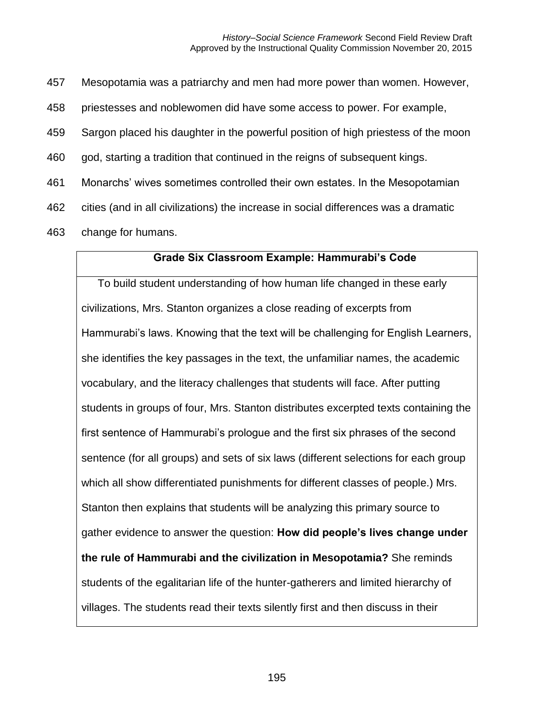457 Mesopotamia was a patriarchy and men had more power than women. However,

458 priestesses and noblewomen did have some access to power. For example,

459 Sargon placed his daughter in the powerful position of high priestess of the moon

460 god, starting a tradition that continued in the reigns of subsequent kings.

461 Monarchs' wives sometimes controlled their own estates. In the Mesopotamian

462 cities (and in all civilizations) the increase in social differences was a dramatic

463 change for humans.

#### **Grade Six Classroom Example: Hammurabi's Code**

To build student understanding of how human life changed in these early civilizations, Mrs. Stanton organizes a close reading of excerpts from Hammurabi's laws. Knowing that the text will be challenging for English Learners, she identifies the key passages in the text, the unfamiliar names, the academic vocabulary, and the literacy challenges that students will face. After putting students in groups of four, Mrs. Stanton distributes excerpted texts containing the first sentence of Hammurabi's prologue and the first six phrases of the second sentence (for all groups) and sets of six laws (different selections for each group which all show differentiated punishments for different classes of people.) Mrs. Stanton then explains that students will be analyzing this primary source to gather evidence to answer the question: **How did people's lives change under the rule of Hammurabi and the civilization in Mesopotamia?** She reminds students of the egalitarian life of the hunter-gatherers and limited hierarchy of villages. The students read their texts silently first and then discuss in their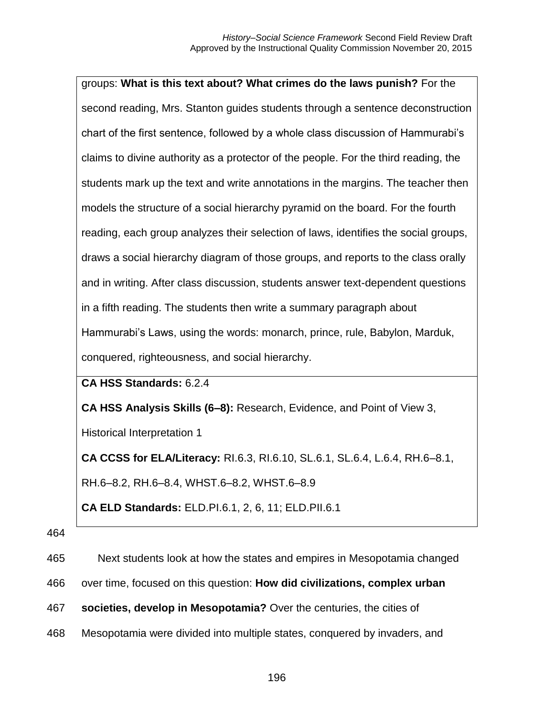| groups: What is this text about? What crimes do the laws punish? For the            |
|-------------------------------------------------------------------------------------|
| second reading, Mrs. Stanton guides students through a sentence deconstruction      |
| chart of the first sentence, followed by a whole class discussion of Hammurabi's    |
| claims to divine authority as a protector of the people. For the third reading, the |
| students mark up the text and write annotations in the margins. The teacher then    |
| models the structure of a social hierarchy pyramid on the board. For the fourth     |
| reading, each group analyzes their selection of laws, identifies the social groups, |
| draws a social hierarchy diagram of those groups, and reports to the class orally   |
| and in writing. After class discussion, students answer text-dependent questions    |
| in a fifth reading. The students then write a summary paragraph about               |
| Hammurabi's Laws, using the words: monarch, prince, rule, Babylon, Marduk,          |
| conquered, righteousness, and social hierarchy.                                     |

#### **CA HSS Standards:** 6.2.4

**CA HSS Analysis Skills (6–8):** Research, Evidence, and Point of View 3,

Historical Interpretation 1

**CA CCSS for ELA/Literacy:** RI.6.3, RI.6.10, SL.6.1, SL.6.4, L.6.4, RH.6–8.1,

RH.6–8.2, RH.6–8.4, WHST.6–8.2, WHST.6–8.9

**CA ELD Standards:** ELD.PI.6.1, 2, 6, 11; ELD.PII.6.1

#### 464

465 Next students look at how the states and empires in Mesopotamia changed

- 466 over time, focused on this question: **How did civilizations, complex urban**
- 467 **societies, develop in Mesopotamia?** Over the centuries, the cities of
- 468 Mesopotamia were divided into multiple states, conquered by invaders, and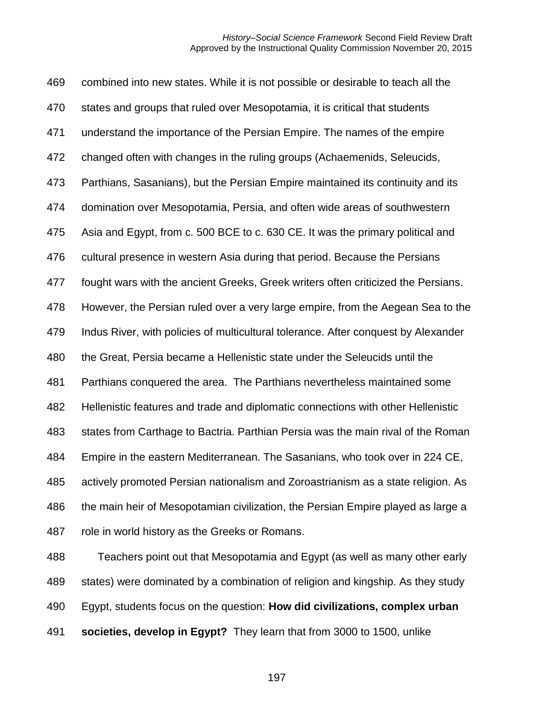combined into new states. While it is not possible or desirable to teach all the states and groups that ruled over Mesopotamia, it is critical that students understand the importance of the Persian Empire. The names of the empire changed often with changes in the ruling groups (Achaemenids, Seleucids, Parthians, Sasanians), but the Persian Empire maintained its continuity and its domination over Mesopotamia, Persia, and often wide areas of southwestern Asia and Egypt, from c. 500 BCE to c. 630 CE. It was the primary political and cultural presence in western Asia during that period. Because the Persians fought wars with the ancient Greeks, Greek writers often criticized the Persians. However, the Persian ruled over a very large empire, from the Aegean Sea to the Indus River, with policies of multicultural tolerance. After conquest by Alexander the Great, Persia became a Hellenistic state under the Seleucids until the Parthians conquered the area. The Parthians nevertheless maintained some Hellenistic features and trade and diplomatic connections with other Hellenistic states from Carthage to Bactria. Parthian Persia was the main rival of the Roman Empire in the eastern Mediterranean. The Sasanians, who took over in 224 CE, actively promoted Persian nationalism and Zoroastrianism as a state religion. As 486 the main heir of Mesopotamian civilization, the Persian Empire played as large a role in world history as the Greeks or Romans.

 Teachers point out that Mesopotamia and Egypt (as well as many other early states) were dominated by a combination of religion and kingship. As they study Egypt, students focus on the question: **How did civilizations, complex urban societies, develop in Egypt?** They learn that from 3000 to 1500, unlike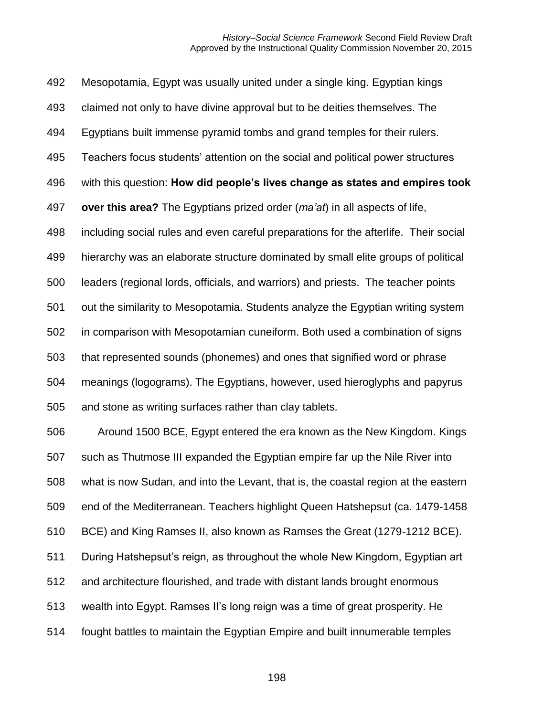Mesopotamia, Egypt was usually united under a single king. Egyptian kings claimed not only to have divine approval but to be deities themselves. The Egyptians built immense pyramid tombs and grand temples for their rulers. Teachers focus students' attention on the social and political power structures with this question: **How did people's lives change as states and empires took over this area?** The Egyptians prized order (*ma'at*) in all aspects of life, including social rules and even careful preparations for the afterlife. Their social hierarchy was an elaborate structure dominated by small elite groups of political leaders (regional lords, officials, and warriors) and priests. The teacher points out the similarity to Mesopotamia. Students analyze the Egyptian writing system in comparison with Mesopotamian cuneiform. Both used a combination of signs that represented sounds (phonemes) and ones that signified word or phrase meanings (logograms). The Egyptians, however, used hieroglyphs and papyrus and stone as writing surfaces rather than clay tablets. Around 1500 BCE, Egypt entered the era known as the New Kingdom. Kings such as Thutmose III expanded the Egyptian empire far up the Nile River into what is now Sudan, and into the Levant, that is, the coastal region at the eastern end of the Mediterranean. Teachers highlight Queen Hatshepsut (ca. 1479-1458 BCE) and King Ramses II, also known as Ramses the Great (1279-1212 BCE). During Hatshepsut's reign, as throughout the whole New Kingdom, Egyptian art and architecture flourished, and trade with distant lands brought enormous wealth into Egypt. Ramses II's long reign was a time of great prosperity. He

fought battles to maintain the Egyptian Empire and built innumerable temples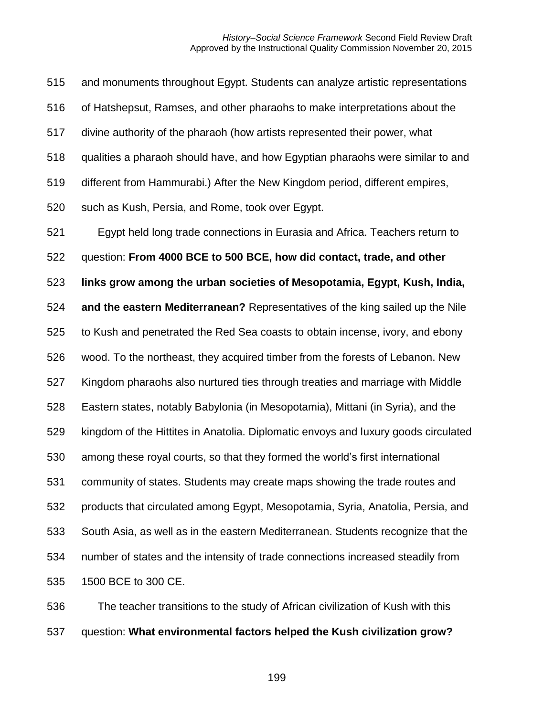and monuments throughout Egypt. Students can analyze artistic representations of Hatshepsut, Ramses, and other pharaohs to make interpretations about the divine authority of the pharaoh (how artists represented their power, what qualities a pharaoh should have, and how Egyptian pharaohs were similar to and different from Hammurabi.) After the New Kingdom period, different empires, such as Kush, Persia, and Rome, took over Egypt. Egypt held long trade connections in Eurasia and Africa. Teachers return to question: **From 4000 BCE to 500 BCE, how did contact, trade, and other links grow among the urban societies of Mesopotamia, Egypt, Kush, India, and the eastern Mediterranean?** Representatives of the king sailed up the Nile to Kush and penetrated the Red Sea coasts to obtain incense, ivory, and ebony wood. To the northeast, they acquired timber from the forests of Lebanon. New Kingdom pharaohs also nurtured ties through treaties and marriage with Middle Eastern states, notably Babylonia (in Mesopotamia), Mittani (in Syria), and the kingdom of the Hittites in Anatolia. Diplomatic envoys and luxury goods circulated among these royal courts, so that they formed the world's first international community of states. Students may create maps showing the trade routes and products that circulated among Egypt, Mesopotamia, Syria, Anatolia, Persia, and South Asia, as well as in the eastern Mediterranean. Students recognize that the number of states and the intensity of trade connections increased steadily from 1500 BCE to 300 CE.

 The teacher transitions to the study of African civilization of Kush with this question: **What environmental factors helped the Kush civilization grow?**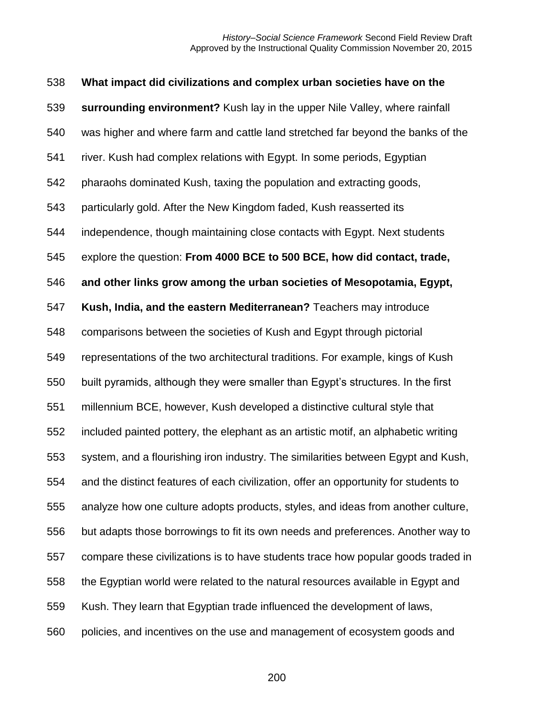| 538 | What impact did civilizations and complex urban societies have on the                |
|-----|--------------------------------------------------------------------------------------|
| 539 | surrounding environment? Kush lay in the upper Nile Valley, where rainfall           |
| 540 | was higher and where farm and cattle land stretched far beyond the banks of the      |
| 541 | river. Kush had complex relations with Egypt. In some periods, Egyptian              |
| 542 | pharaohs dominated Kush, taxing the population and extracting goods,                 |
| 543 | particularly gold. After the New Kingdom faded, Kush reasserted its                  |
| 544 | independence, though maintaining close contacts with Egypt. Next students            |
| 545 | explore the question: From 4000 BCE to 500 BCE, how did contact, trade,              |
| 546 | and other links grow among the urban societies of Mesopotamia, Egypt,                |
| 547 | Kush, India, and the eastern Mediterranean? Teachers may introduce                   |
| 548 | comparisons between the societies of Kush and Egypt through pictorial                |
| 549 | representations of the two architectural traditions. For example, kings of Kush      |
| 550 | built pyramids, although they were smaller than Egypt's structures. In the first     |
| 551 | millennium BCE, however, Kush developed a distinctive cultural style that            |
| 552 | included painted pottery, the elephant as an artistic motif, an alphabetic writing   |
| 553 | system, and a flourishing iron industry. The similarities between Egypt and Kush,    |
| 554 | and the distinct features of each civilization, offer an opportunity for students to |
| 555 | analyze how one culture adopts products, styles, and ideas from another culture,     |
| 556 | but adapts those borrowings to fit its own needs and preferences. Another way to     |
| 557 | compare these civilizations is to have students trace how popular goods traded in    |
| 558 | the Egyptian world were related to the natural resources available in Egypt and      |
| 559 | Kush. They learn that Egyptian trade influenced the development of laws,             |
| 560 | policies, and incentives on the use and management of ecosystem goods and            |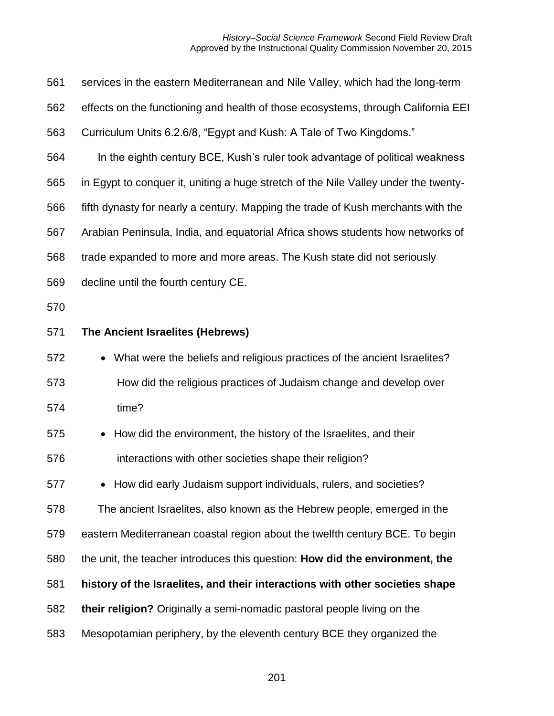| 561 | services in the eastern Mediterranean and Nile Valley, which had the long-term      |
|-----|-------------------------------------------------------------------------------------|
| 562 | effects on the functioning and health of those ecosystems, through California EEI   |
| 563 | Curriculum Units 6.2.6/8, "Egypt and Kush: A Tale of Two Kingdoms."                 |
| 564 | In the eighth century BCE, Kush's ruler took advantage of political weakness        |
| 565 | in Egypt to conquer it, uniting a huge stretch of the Nile Valley under the twenty- |
| 566 | fifth dynasty for nearly a century. Mapping the trade of Kush merchants with the    |
| 567 | Arabian Peninsula, India, and equatorial Africa shows students how networks of      |
| 568 | trade expanded to more and more areas. The Kush state did not seriously             |
| 569 | decline until the fourth century CE.                                                |
| 570 |                                                                                     |
| 571 | The Ancient Israelites (Hebrews)                                                    |
| 572 | What were the beliefs and religious practices of the ancient Israelites?            |
| 573 | How did the religious practices of Judaism change and develop over                  |
| 574 | time?                                                                               |
| 575 | How did the environment, the history of the Israelites, and their                   |
| 576 | interactions with other societies shape their religion?                             |
| 577 | • How did early Judaism support individuals, rulers, and societies?                 |
| 578 | The ancient Israelites, also known as the Hebrew people, emerged in the             |
| 579 | eastern Mediterranean coastal region about the twelfth century BCE. To begin        |
| 580 | the unit, the teacher introduces this question: How did the environment, the        |
| 581 | history of the Israelites, and their interactions with other societies shape        |
| 582 | their religion? Originally a semi-nomadic pastoral people living on the             |
| 583 | Mesopotamian periphery, by the eleventh century BCE they organized the              |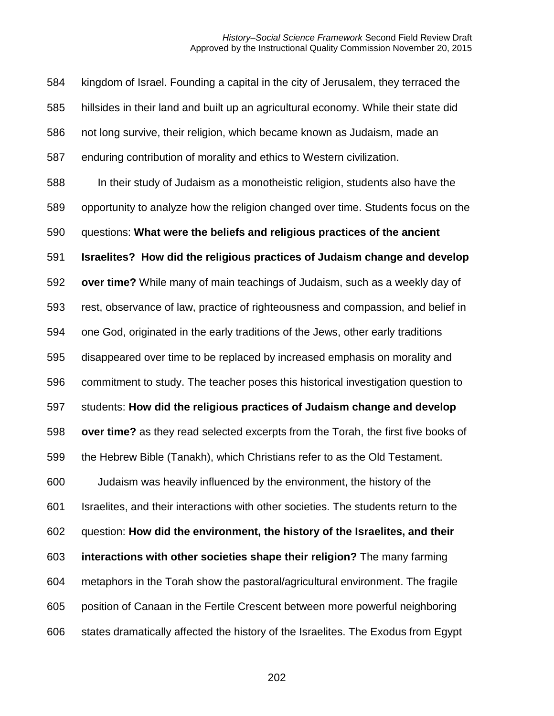kingdom of Israel. Founding a capital in the city of Jerusalem, they terraced the hillsides in their land and built up an agricultural economy. While their state did not long survive, their religion, which became known as Judaism, made an enduring contribution of morality and ethics to Western civilization. In their study of Judaism as a monotheistic religion, students also have the opportunity to analyze how the religion changed over time. Students focus on the questions: **What were the beliefs and religious practices of the ancient Israelites? How did the religious practices of Judaism change and develop over time?** While many of main teachings of Judaism, such as a weekly day of rest, observance of law, practice of righteousness and compassion, and belief in one God, originated in the early traditions of the Jews, other early traditions disappeared over time to be replaced by increased emphasis on morality and commitment to study. The teacher poses this historical investigation question to students: **How did the religious practices of Judaism change and develop over time?** as they read selected excerpts from the Torah, the first five books of the Hebrew Bible (Tanakh), which Christians refer to as the Old Testament. Judaism was heavily influenced by the environment, the history of the Israelites, and their interactions with other societies. The students return to the question: **How did the environment, the history of the Israelites, and their interactions with other societies shape their religion?** The many farming metaphors in the Torah show the pastoral/agricultural environment. The fragile position of Canaan in the Fertile Crescent between more powerful neighboring states dramatically affected the history of the Israelites. The Exodus from Egypt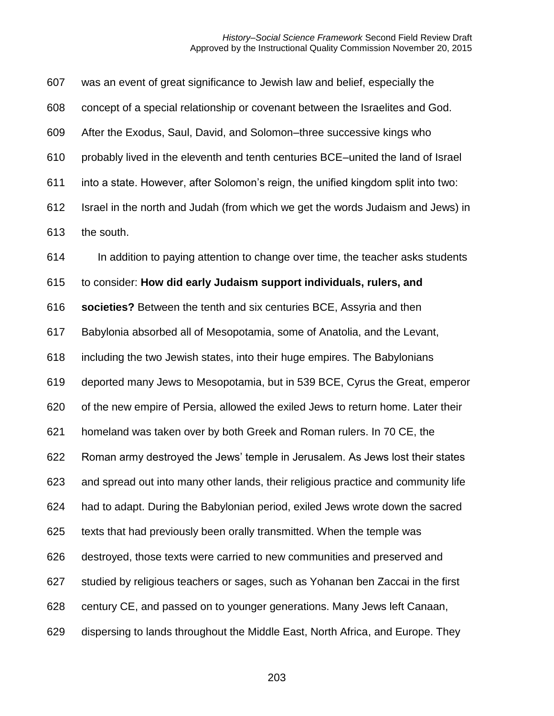was an event of great significance to Jewish law and belief, especially the concept of a special relationship or covenant between the Israelites and God. After the Exodus, Saul, David, and Solomon–three successive kings who probably lived in the eleventh and tenth centuries BCE–united the land of Israel into a state. However, after Solomon's reign, the unified kingdom split into two: Israel in the north and Judah (from which we get the words Judaism and Jews) in the south. In addition to paying attention to change over time, the teacher asks students

to consider: **How did early Judaism support individuals, rulers, and** 

**societies?** Between the tenth and six centuries BCE, Assyria and then

Babylonia absorbed all of Mesopotamia, some of Anatolia, and the Levant,

including the two Jewish states, into their huge empires. The Babylonians

deported many Jews to Mesopotamia, but in 539 BCE, Cyrus the Great, emperor

of the new empire of Persia, allowed the exiled Jews to return home. Later their

homeland was taken over by both Greek and Roman rulers. In 70 CE, the

Roman army destroyed the Jews' temple in Jerusalem. As Jews lost their states

and spread out into many other lands, their religious practice and community life

had to adapt. During the Babylonian period, exiled Jews wrote down the sacred

texts that had previously been orally transmitted. When the temple was

destroyed, those texts were carried to new communities and preserved and

studied by religious teachers or sages, such as Yohanan ben Zaccai in the first

century CE, and passed on to younger generations. Many Jews left Canaan,

dispersing to lands throughout the Middle East, North Africa, and Europe. They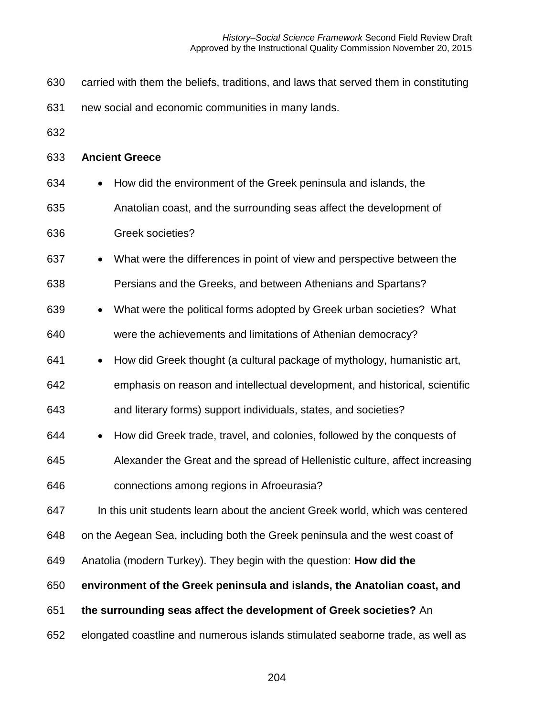- carried with them the beliefs, traditions, and laws that served them in constituting
- new social and economic communities in many lands.
- 

#### **Ancient Greece**

- How did the environment of the Greek peninsula and islands, the Anatolian coast, and the surrounding seas affect the development of Greek societies?
- What were the differences in point of view and perspective between the
- Persians and the Greeks, and between Athenians and Spartans?
- What were the political forms adopted by Greek urban societies? What were the achievements and limitations of Athenian democracy?
- How did Greek thought (a cultural package of mythology, humanistic art, emphasis on reason and intellectual development, and historical, scientific and literary forms) support individuals, states, and societies?
- How did Greek trade, travel, and colonies, followed by the conquests of Alexander the Great and the spread of Hellenistic culture, affect increasing connections among regions in Afroeurasia?

In this unit students learn about the ancient Greek world, which was centered

on the Aegean Sea, including both the Greek peninsula and the west coast of

Anatolia (modern Turkey). They begin with the question: **How did the** 

**environment of the Greek peninsula and islands, the Anatolian coast, and**

- **the surrounding seas affect the development of Greek societies?** An
- elongated coastline and numerous islands stimulated seaborne trade, as well as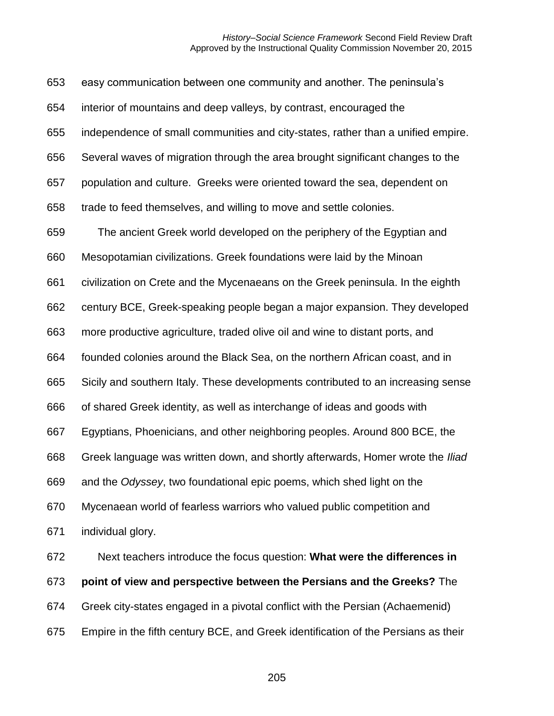| 653 | easy communication between one community and another. The peninsula's              |
|-----|------------------------------------------------------------------------------------|
| 654 | interior of mountains and deep valleys, by contrast, encouraged the                |
| 655 | independence of small communities and city-states, rather than a unified empire.   |
| 656 | Several waves of migration through the area brought significant changes to the     |
| 657 | population and culture. Greeks were oriented toward the sea, dependent on          |
| 658 | trade to feed themselves, and willing to move and settle colonies.                 |
| 659 | The ancient Greek world developed on the periphery of the Egyptian and             |
| 660 | Mesopotamian civilizations. Greek foundations were laid by the Minoan              |
| 661 | civilization on Crete and the Mycenaeans on the Greek peninsula. In the eighth     |
| 662 | century BCE, Greek-speaking people began a major expansion. They developed         |
| 663 | more productive agriculture, traded olive oil and wine to distant ports, and       |
| 664 | founded colonies around the Black Sea, on the northern African coast, and in       |
| 665 | Sicily and southern Italy. These developments contributed to an increasing sense   |
| 666 | of shared Greek identity, as well as interchange of ideas and goods with           |
| 667 | Egyptians, Phoenicians, and other neighboring peoples. Around 800 BCE, the         |
| 668 | Greek language was written down, and shortly afterwards, Homer wrote the Iliad     |
| 669 | and the Odyssey, two foundational epic poems, which shed light on the              |
| 670 | Mycenaean world of fearless warriors who valued public competition and             |
| 671 | individual glory.                                                                  |
| 672 | Next teachers introduce the focus question: What were the differences in           |
| 673 | point of view and perspective between the Persians and the Greeks? The             |
| 674 | Greek city-states engaged in a pivotal conflict with the Persian (Achaemenid)      |
| 675 | Empire in the fifth century BCE, and Greek identification of the Persians as their |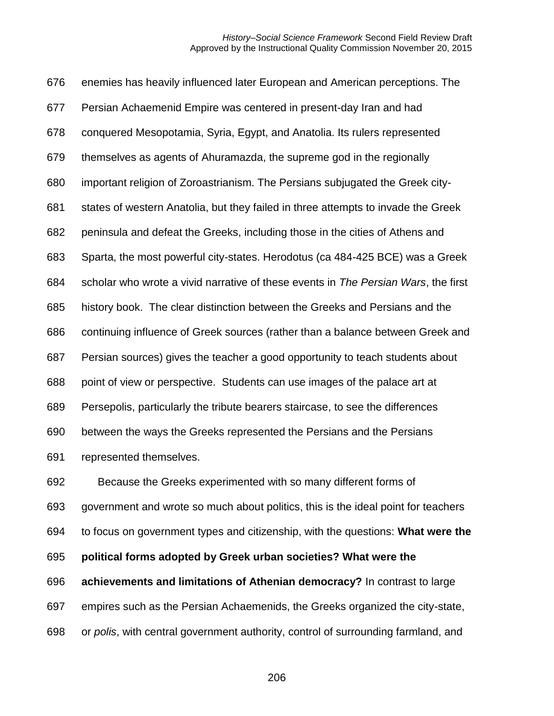enemies has heavily influenced later European and American perceptions. The Persian Achaemenid Empire was centered in present-day Iran and had conquered Mesopotamia, Syria, Egypt, and Anatolia. Its rulers represented themselves as agents of Ahuramazda, the supreme god in the regionally important religion of Zoroastrianism. The Persians subjugated the Greek city- states of western Anatolia, but they failed in three attempts to invade the Greek peninsula and defeat the Greeks, including those in the cities of Athens and Sparta, the most powerful city-states. Herodotus (ca 484-425 BCE) was a Greek scholar who wrote a vivid narrative of these events in *The Persian Wars*, the first history book. The clear distinction between the Greeks and Persians and the continuing influence of Greek sources (rather than a balance between Greek and Persian sources) gives the teacher a good opportunity to teach students about point of view or perspective. Students can use images of the palace art at Persepolis, particularly the tribute bearers staircase, to see the differences between the ways the Greeks represented the Persians and the Persians represented themselves.

 Because the Greeks experimented with so many different forms of government and wrote so much about politics, this is the ideal point for teachers

to focus on government types and citizenship, with the questions: **What were the** 

**political forms adopted by Greek urban societies? What were the** 

**achievements and limitations of Athenian democracy?** In contrast to large

empires such as the Persian Achaemenids, the Greeks organized the city-state,

or *polis*, with central government authority, control of surrounding farmland, and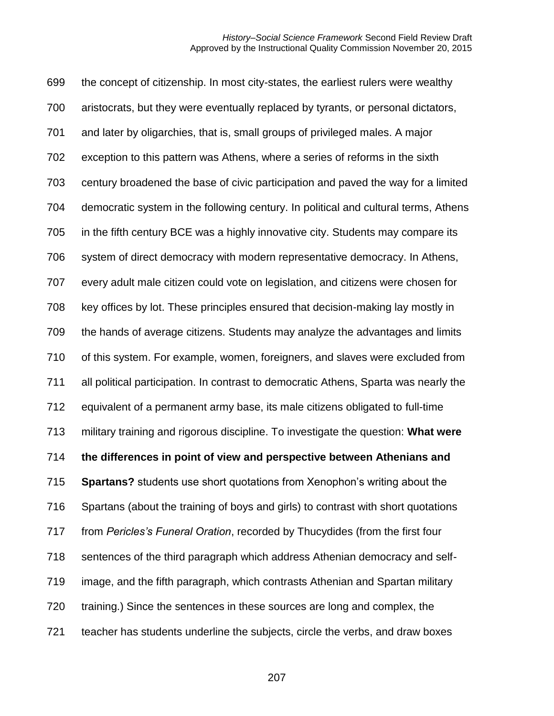the concept of citizenship. In most city-states, the earliest rulers were wealthy aristocrats, but they were eventually replaced by tyrants, or personal dictators, and later by oligarchies, that is, small groups of privileged males. A major exception to this pattern was Athens, where a series of reforms in the sixth century broadened the base of civic participation and paved the way for a limited democratic system in the following century. In political and cultural terms, Athens in the fifth century BCE was a highly innovative city. Students may compare its system of direct democracy with modern representative democracy. In Athens, every adult male citizen could vote on legislation, and citizens were chosen for key offices by lot. These principles ensured that decision-making lay mostly in the hands of average citizens. Students may analyze the advantages and limits of this system. For example, women, foreigners, and slaves were excluded from all political participation. In contrast to democratic Athens, Sparta was nearly the equivalent of a permanent army base, its male citizens obligated to full-time military training and rigorous discipline. To investigate the question: **What were the differences in point of view and perspective between Athenians and Spartans?** students use short quotations from Xenophon's writing about the Spartans (about the training of boys and girls) to contrast with short quotations from *Pericles's Funeral Oration*, recorded by Thucydides (from the first four sentences of the third paragraph which address Athenian democracy and self- image, and the fifth paragraph, which contrasts Athenian and Spartan military training.) Since the sentences in these sources are long and complex, the teacher has students underline the subjects, circle the verbs, and draw boxes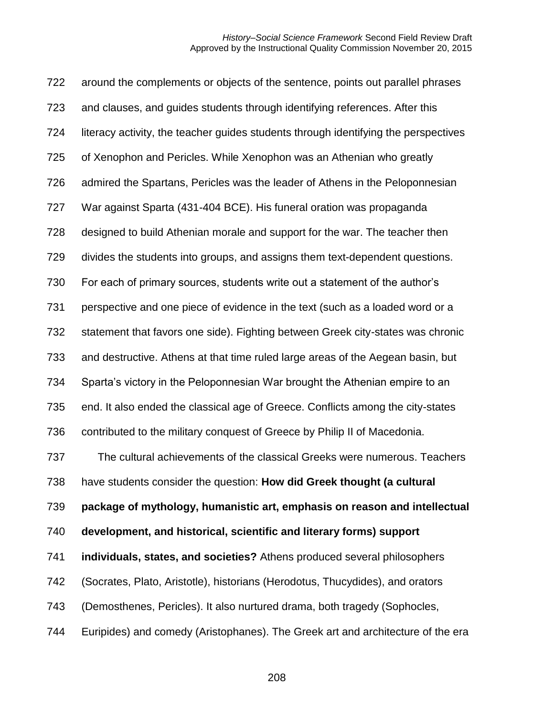around the complements or objects of the sentence, points out parallel phrases and clauses, and guides students through identifying references. After this literacy activity, the teacher guides students through identifying the perspectives of Xenophon and Pericles. While Xenophon was an Athenian who greatly admired the Spartans, Pericles was the leader of Athens in the Peloponnesian War against Sparta (431-404 BCE). His funeral oration was propaganda designed to build Athenian morale and support for the war. The teacher then divides the students into groups, and assigns them text-dependent questions. For each of primary sources, students write out a statement of the author's perspective and one piece of evidence in the text (such as a loaded word or a statement that favors one side). Fighting between Greek city-states was chronic and destructive. Athens at that time ruled large areas of the Aegean basin, but Sparta's victory in the Peloponnesian War brought the Athenian empire to an end. It also ended the classical age of Greece. Conflicts among the city-states contributed to the military conquest of Greece by Philip II of Macedonia. The cultural achievements of the classical Greeks were numerous. Teachers have students consider the question: **How did Greek thought (a cultural package of mythology, humanistic art, emphasis on reason and intellectual development, and historical, scientific and literary forms) support individuals, states, and societies?** Athens produced several philosophers (Socrates, Plato, Aristotle), historians (Herodotus, Thucydides), and orators (Demosthenes, Pericles). It also nurtured drama, both tragedy (Sophocles, Euripides) and comedy (Aristophanes). The Greek art and architecture of the era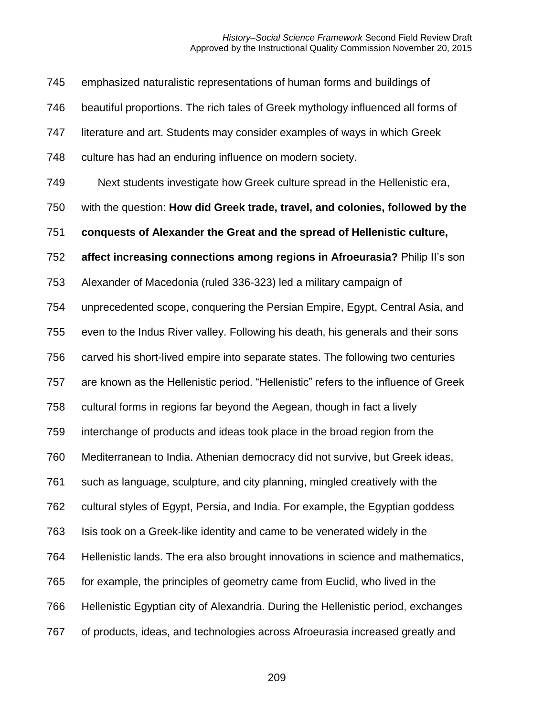emphasized naturalistic representations of human forms and buildings of beautiful proportions. The rich tales of Greek mythology influenced all forms of literature and art. Students may consider examples of ways in which Greek culture has had an enduring influence on modern society. Next students investigate how Greek culture spread in the Hellenistic era, with the question: **How did Greek trade, travel, and colonies, followed by the conquests of Alexander the Great and the spread of Hellenistic culture, affect increasing connections among regions in Afroeurasia?** Philip II's son Alexander of Macedonia (ruled 336-323) led a military campaign of unprecedented scope, conquering the Persian Empire, Egypt, Central Asia, and even to the Indus River valley. Following his death, his generals and their sons carved his short-lived empire into separate states. The following two centuries are known as the Hellenistic period. "Hellenistic" refers to the influence of Greek cultural forms in regions far beyond the Aegean, though in fact a lively interchange of products and ideas took place in the broad region from the Mediterranean to India. Athenian democracy did not survive, but Greek ideas, such as language, sculpture, and city planning, mingled creatively with the cultural styles of Egypt, Persia, and India. For example, the Egyptian goddess Isis took on a Greek-like identity and came to be venerated widely in the Hellenistic lands. The era also brought innovations in science and mathematics, for example, the principles of geometry came from Euclid, who lived in the Hellenistic Egyptian city of Alexandria. During the Hellenistic period, exchanges of products, ideas, and technologies across Afroeurasia increased greatly and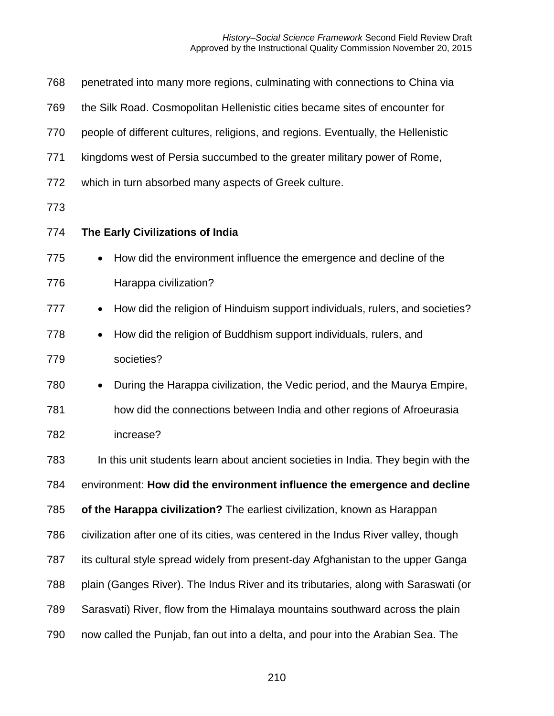| 768 | penetrated into many more regions, culminating with connections to China via              |
|-----|-------------------------------------------------------------------------------------------|
| 769 | the Silk Road. Cosmopolitan Hellenistic cities became sites of encounter for              |
| 770 | people of different cultures, religions, and regions. Eventually, the Hellenistic         |
| 771 | kingdoms west of Persia succumbed to the greater military power of Rome,                  |
| 772 | which in turn absorbed many aspects of Greek culture.                                     |
| 773 |                                                                                           |
| 774 | The Early Civilizations of India                                                          |
| 775 | How did the environment influence the emergence and decline of the<br>$\bullet$           |
| 776 | Harappa civilization?                                                                     |
| 777 | How did the religion of Hinduism support individuals, rulers, and societies?<br>$\bullet$ |
| 778 | How did the religion of Buddhism support individuals, rulers, and                         |
| 779 | societies?                                                                                |
| 780 | During the Harappa civilization, the Vedic period, and the Maurya Empire,<br>$\bullet$    |
| 781 | how did the connections between India and other regions of Afroeurasia                    |
| 782 | increase?                                                                                 |
| 783 | In this unit students learn about ancient societies in India. They begin with the         |
| 784 | environment: How did the environment influence the emergence and decline                  |
| 785 | of the Harappa civilization? The earliest civilization, known as Harappan                 |
| 786 | civilization after one of its cities, was centered in the Indus River valley, though      |
| 787 | its cultural style spread widely from present-day Afghanistan to the upper Ganga          |
| 788 | plain (Ganges River). The Indus River and its tributaries, along with Saraswati (or       |
| 789 | Sarasvati) River, flow from the Himalaya mountains southward across the plain             |
| 790 | now called the Punjab, fan out into a delta, and pour into the Arabian Sea. The           |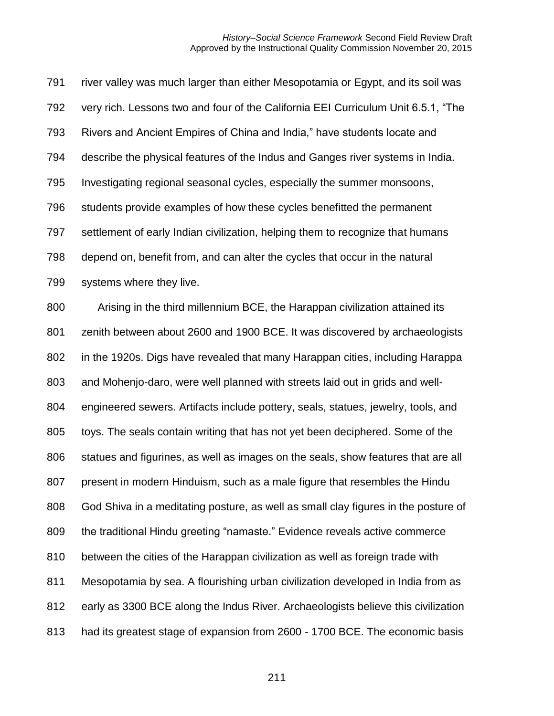river valley was much larger than either Mesopotamia or Egypt, and its soil was very rich. Lessons two and four of the California EEI Curriculum Unit 6.5.1, "The Rivers and Ancient Empires of China and India," have students locate and describe the physical features of the Indus and Ganges river systems in India. Investigating regional seasonal cycles, especially the summer monsoons, students provide examples of how these cycles benefitted the permanent settlement of early Indian civilization, helping them to recognize that humans depend on, benefit from, and can alter the cycles that occur in the natural systems where they live. Arising in the third millennium BCE, the Harappan civilization attained its zenith between about 2600 and 1900 BCE. It was discovered by archaeologists in the 1920s. Digs have revealed that many Harappan cities, including Harappa and Mohenjo-daro, were well planned with streets laid out in grids and well-

engineered sewers. Artifacts include pottery, seals, statues, jewelry, tools, and

toys. The seals contain writing that has not yet been deciphered. Some of the

statues and figurines, as well as images on the seals, show features that are all

present in modern Hinduism, such as a male figure that resembles the Hindu

God Shiva in a meditating posture, as well as small clay figures in the posture of

the traditional Hindu greeting "namaste." Evidence reveals active commerce

between the cities of the Harappan civilization as well as foreign trade with

Mesopotamia by sea. A flourishing urban civilization developed in India from as

early as 3300 BCE along the Indus River. Archaeologists believe this civilization

had its greatest stage of expansion from 2600 - 1700 BCE. The economic basis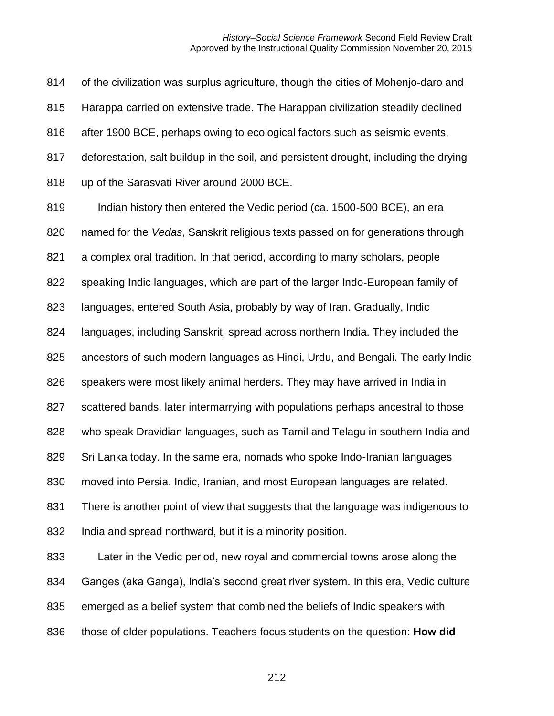of the civilization was surplus agriculture, though the cities of Mohenjo-daro and Harappa carried on extensive trade. The Harappan civilization steadily declined after 1900 BCE, perhaps owing to ecological factors such as seismic events, deforestation, salt buildup in the soil, and persistent drought, including the drying up of the Sarasvati River around 2000 BCE.

 Indian history then entered the Vedic period (ca. 1500-500 BCE), an era named for the *Vedas*, Sanskrit religious texts passed on for generations through a complex oral tradition. In that period, according to many scholars, people speaking Indic languages, which are part of the larger Indo-European family of languages, entered South Asia, probably by way of Iran. Gradually, Indic languages, including Sanskrit, spread across northern India. They included the ancestors of such modern languages as Hindi, Urdu, and Bengali. The early Indic speakers were most likely animal herders. They may have arrived in India in scattered bands, later intermarrying with populations perhaps ancestral to those who speak Dravidian languages, such as Tamil and Telagu in southern India and Sri Lanka today. In the same era, nomads who spoke Indo-Iranian languages moved into Persia. Indic, Iranian, and most European languages are related. There is another point of view that suggests that the language was indigenous to India and spread northward, but it is a minority position.

 Later in the Vedic period, new royal and commercial towns arose along the Ganges (aka Ganga), India's second great river system. In this era, Vedic culture emerged as a belief system that combined the beliefs of Indic speakers with those of older populations. Teachers focus students on the question: **How did**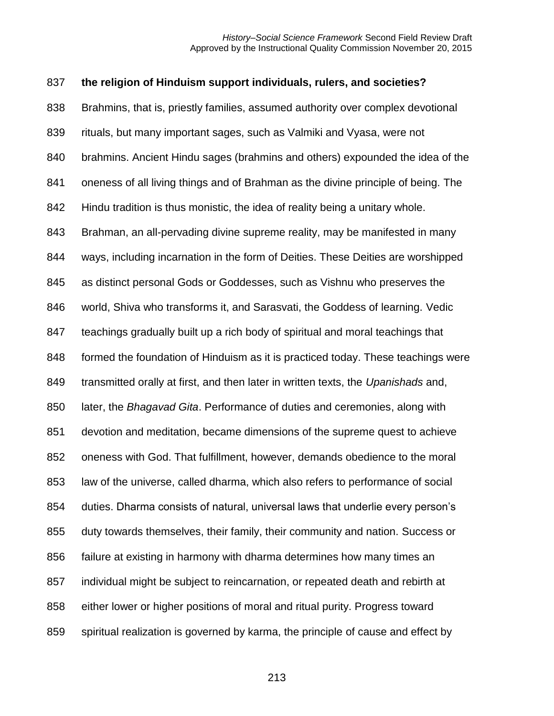# **the religion of Hinduism support individuals, rulers, and societies?**  Brahmins, that is, priestly families, assumed authority over complex devotional rituals, but many important sages, such as Valmiki and Vyasa, were not brahmins. Ancient Hindu sages (brahmins and others) expounded the idea of the oneness of all living things and of Brahman as the divine principle of being. The Hindu tradition is thus monistic, the idea of reality being a unitary whole. Brahman, an all-pervading divine supreme reality, may be manifested in many ways, including incarnation in the form of Deities. These Deities are worshipped as distinct personal Gods or Goddesses, such as Vishnu who preserves the world, Shiva who transforms it, and Sarasvati, the Goddess of learning. Vedic teachings gradually built up a rich body of spiritual and moral teachings that formed the foundation of Hinduism as it is practiced today. These teachings were transmitted orally at first, and then later in written texts, the *Upanishads* and, later, the *Bhagavad Gita*. Performance of duties and ceremonies, along with devotion and meditation, became dimensions of the supreme quest to achieve oneness with God. That fulfillment, however, demands obedience to the moral law of the universe, called dharma, which also refers to performance of social duties. Dharma consists of natural, universal laws that underlie every person's duty towards themselves, their family, their community and nation. Success or failure at existing in harmony with dharma determines how many times an individual might be subject to reincarnation, or repeated death and rebirth at either lower or higher positions of moral and ritual purity. Progress toward spiritual realization is governed by karma, the principle of cause and effect by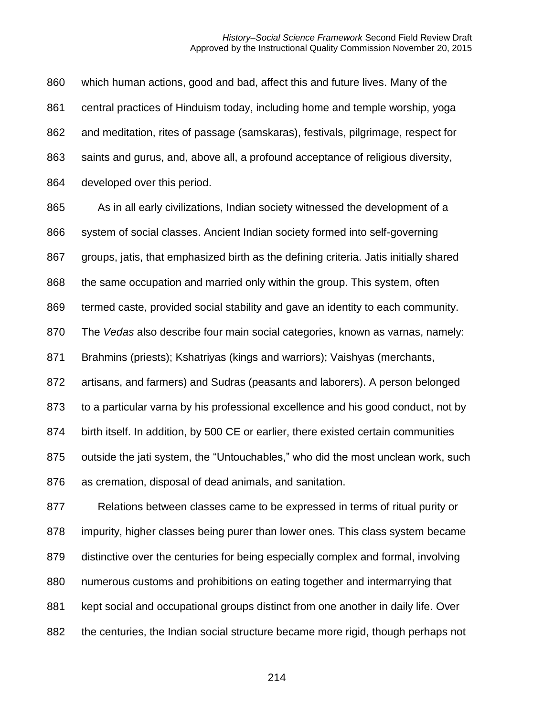which human actions, good and bad, affect this and future lives. Many of the central practices of Hinduism today, including home and temple worship, yoga and meditation, rites of passage (samskaras), festivals, pilgrimage, respect for saints and gurus, and, above all, a profound acceptance of religious diversity, developed over this period.

 As in all early civilizations, Indian society witnessed the development of a system of social classes. Ancient Indian society formed into self-governing groups, jatis, that emphasized birth as the defining criteria. Jatis initially shared the same occupation and married only within the group. This system, often termed caste, provided social stability and gave an identity to each community. The *Vedas* also describe four main social categories, known as varnas, namely: Brahmins (priests); Kshatriyas (kings and warriors); Vaishyas (merchants, artisans, and farmers) and Sudras (peasants and laborers). A person belonged to a particular varna by his professional excellence and his good conduct, not by birth itself. In addition, by 500 CE or earlier, there existed certain communities outside the jati system, the "Untouchables," who did the most unclean work, such as cremation, disposal of dead animals, and sanitation.

 Relations between classes came to be expressed in terms of ritual purity or impurity, higher classes being purer than lower ones. This class system became distinctive over the centuries for being especially complex and formal, involving numerous customs and prohibitions on eating together and intermarrying that kept social and occupational groups distinct from one another in daily life. Over the centuries, the Indian social structure became more rigid, though perhaps not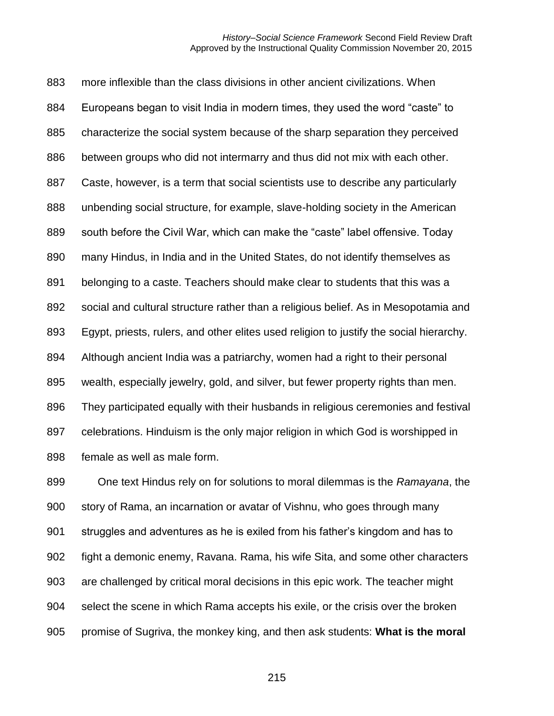more inflexible than the class divisions in other ancient civilizations. When Europeans began to visit India in modern times, they used the word "caste" to characterize the social system because of the sharp separation they perceived between groups who did not intermarry and thus did not mix with each other. Caste, however, is a term that social scientists use to describe any particularly unbending social structure, for example, slave-holding society in the American south before the Civil War, which can make the "caste" label offensive. Today many Hindus, in India and in the United States, do not identify themselves as belonging to a caste. Teachers should make clear to students that this was a social and cultural structure rather than a religious belief. As in Mesopotamia and Egypt, priests, rulers, and other elites used religion to justify the social hierarchy. Although ancient India was a patriarchy, women had a right to their personal wealth, especially jewelry, gold, and silver, but fewer property rights than men. They participated equally with their husbands in religious ceremonies and festival celebrations. Hinduism is the only major religion in which God is worshipped in female as well as male form.

 One text Hindus rely on for solutions to moral dilemmas is the *Ramayana*, the story of Rama, an incarnation or avatar of Vishnu, who goes through many struggles and adventures as he is exiled from his father's kingdom and has to fight a demonic enemy, Ravana. Rama, his wife Sita, and some other characters are challenged by critical moral decisions in this epic work. The teacher might select the scene in which Rama accepts his exile, or the crisis over the broken promise of Sugriva, the monkey king, and then ask students: **What is the moral**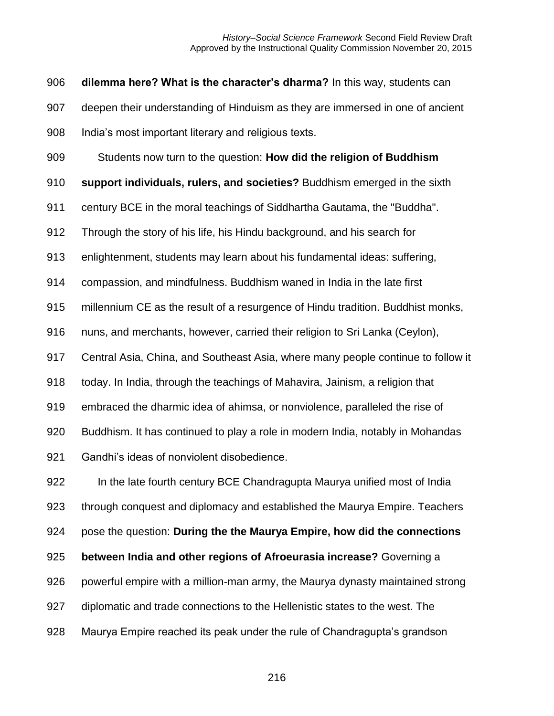**dilemma here? What is the character's dharma?** In this way, students can

deepen their understanding of Hinduism as they are immersed in one of ancient

India's most important literary and religious texts.

Students now turn to the question: **How did the religion of Buddhism** 

**support individuals, rulers, and societies?** Buddhism emerged in the sixth

century BCE in the moral teachings of Siddhartha Gautama, the "Buddha".

Through the story of his life, his Hindu background, and his search for

enlightenment, students may learn about his fundamental ideas: suffering,

compassion, and mindfulness. Buddhism waned in India in the late first

millennium CE as the result of a resurgence of Hindu tradition. Buddhist monks,

nuns, and merchants, however, carried their religion to Sri Lanka (Ceylon),

Central Asia, China, and Southeast Asia, where many people continue to follow it

today. In India, through the teachings of Mahavira, Jainism, a religion that

embraced the dharmic idea of ahimsa, or nonviolence, paralleled the rise of

Buddhism. It has continued to play a role in modern India, notably in Mohandas

Gandhi's ideas of nonviolent disobedience.

 In the late fourth century BCE Chandragupta Maurya unified most of India through conquest and diplomacy and established the Maurya Empire. Teachers pose the question: **During the the Maurya Empire, how did the connections** 

**between India and other regions of Afroeurasia increase?** Governing a

- powerful empire with a million-man army, the Maurya dynasty maintained strong
- diplomatic and trade connections to the Hellenistic states to the west. The
- Maurya Empire reached its peak under the rule of Chandragupta's grandson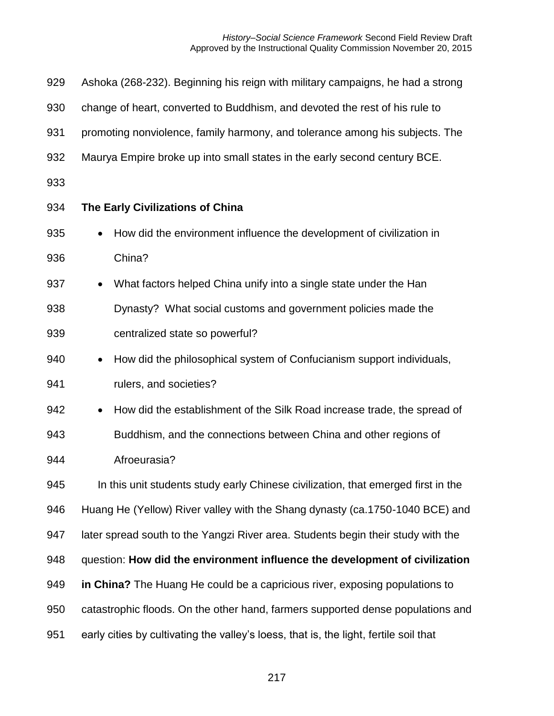| 929 | Ashoka (268-232). Beginning his reign with military campaigns, he had a strong        |
|-----|---------------------------------------------------------------------------------------|
| 930 | change of heart, converted to Buddhism, and devoted the rest of his rule to           |
| 931 | promoting nonviolence, family harmony, and tolerance among his subjects. The          |
| 932 | Maurya Empire broke up into small states in the early second century BCE.             |
| 933 |                                                                                       |
| 934 | The Early Civilizations of China                                                      |
| 935 | How did the environment influence the development of civilization in                  |
| 936 | China?                                                                                |
| 937 | What factors helped China unify into a single state under the Han<br>$\bullet$        |
| 938 | Dynasty? What social customs and government policies made the                         |
| 939 | centralized state so powerful?                                                        |
| 940 | How did the philosophical system of Confucianism support individuals,<br>$\bullet$    |
| 941 | rulers, and societies?                                                                |
| 942 | How did the establishment of the Silk Road increase trade, the spread of<br>$\bullet$ |
| 943 | Buddhism, and the connections between China and other regions of                      |
| 944 | Afroeurasia?                                                                          |
| 945 | In this unit students study early Chinese civilization, that emerged first in the     |
| 946 | Huang He (Yellow) River valley with the Shang dynasty (ca.1750-1040 BCE) and          |
| 947 | later spread south to the Yangzi River area. Students begin their study with the      |
| 948 | question: How did the environment influence the development of civilization           |
| 949 | in China? The Huang He could be a capricious river, exposing populations to           |
| 950 | catastrophic floods. On the other hand, farmers supported dense populations and       |
| 951 | early cities by cultivating the valley's loess, that is, the light, fertile soil that |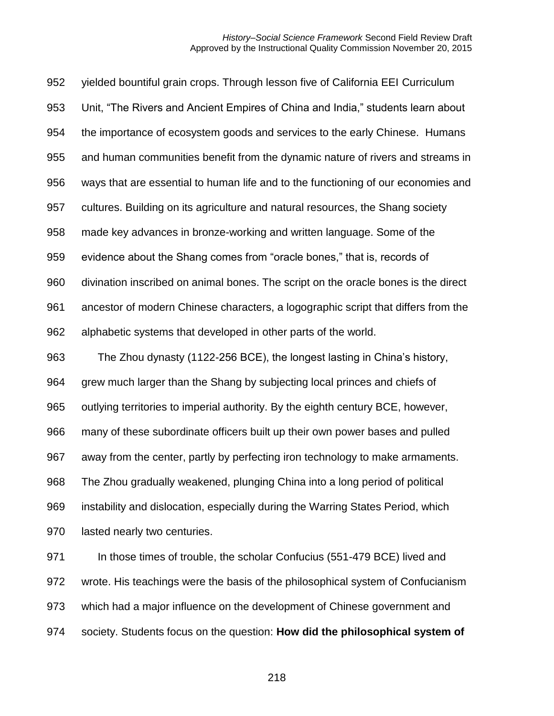yielded bountiful grain crops. Through lesson five of California EEI Curriculum Unit, "The Rivers and Ancient Empires of China and India," students learn about the importance of ecosystem goods and services to the early Chinese. Humans and human communities benefit from the dynamic nature of rivers and streams in ways that are essential to human life and to the functioning of our economies and cultures. Building on its agriculture and natural resources, the Shang society made key advances in bronze-working and written language. Some of the evidence about the Shang comes from "oracle bones," that is, records of divination inscribed on animal bones. The script on the oracle bones is the direct ancestor of modern Chinese characters, a logographic script that differs from the alphabetic systems that developed in other parts of the world. The Zhou dynasty (1122-256 BCE), the longest lasting in China's history, grew much larger than the Shang by subjecting local princes and chiefs of outlying territories to imperial authority. By the eighth century BCE, however, many of these subordinate officers built up their own power bases and pulled away from the center, partly by perfecting iron technology to make armaments.

The Zhou gradually weakened, plunging China into a long period of political

instability and dislocation, especially during the Warring States Period, which

lasted nearly two centuries.

 In those times of trouble, the scholar Confucius (551-479 BCE) lived and wrote. His teachings were the basis of the philosophical system of Confucianism which had a major influence on the development of Chinese government and society. Students focus on the question: **How did the philosophical system of**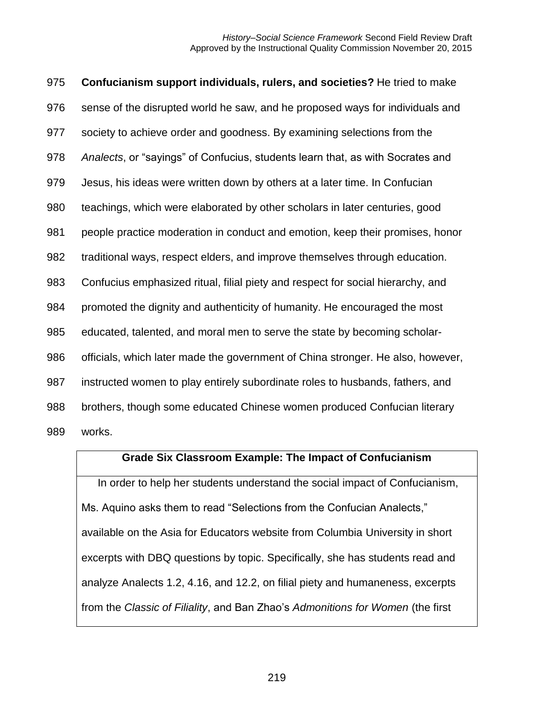**Confucianism support individuals, rulers, and societies?** He tried to make sense of the disrupted world he saw, and he proposed ways for individuals and society to achieve order and goodness. By examining selections from the *Analects*, or "sayings" of Confucius, students learn that, as with Socrates and Jesus, his ideas were written down by others at a later time. In Confucian teachings, which were elaborated by other scholars in later centuries, good people practice moderation in conduct and emotion, keep their promises, honor traditional ways, respect elders, and improve themselves through education. Confucius emphasized ritual, filial piety and respect for social hierarchy, and promoted the dignity and authenticity of humanity. He encouraged the most educated, talented, and moral men to serve the state by becoming scholar- officials, which later made the government of China stronger. He also, however, instructed women to play entirely subordinate roles to husbands, fathers, and brothers, though some educated Chinese women produced Confucian literary works.

#### **Grade Six Classroom Example: The Impact of Confucianism**

In order to help her students understand the social impact of Confucianism, Ms. Aquino asks them to read "Selections from the Confucian Analects," available on the Asia for Educators website from Columbia University in short excerpts with DBQ questions by topic. Specifically, she has students read and analyze Analects 1.2, 4.16, and 12.2, on filial piety and humaneness, excerpts from the *Classic of Filiality*, and Ban Zhao's *Admonitions for Women* (the first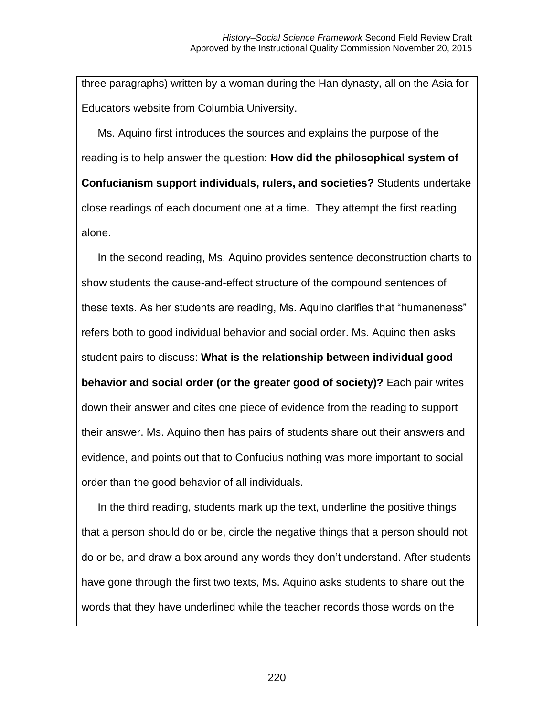three paragraphs) written by a woman during the Han dynasty, all on the Asia for Educators website from Columbia University.

Ms. Aquino first introduces the sources and explains the purpose of the reading is to help answer the question: **How did the philosophical system of Confucianism support individuals, rulers, and societies?** Students undertake close readings of each document one at a time. They attempt the first reading alone.

In the second reading, Ms. Aquino provides sentence deconstruction charts to show students the cause-and-effect structure of the compound sentences of these texts. As her students are reading, Ms. Aquino clarifies that "humaneness" refers both to good individual behavior and social order. Ms. Aquino then asks student pairs to discuss: **What is the relationship between individual good behavior and social order (or the greater good of society)?** Each pair writes down their answer and cites one piece of evidence from the reading to support their answer. Ms. Aquino then has pairs of students share out their answers and evidence, and points out that to Confucius nothing was more important to social order than the good behavior of all individuals.

In the third reading, students mark up the text, underline the positive things that a person should do or be, circle the negative things that a person should not do or be, and draw a box around any words they don't understand. After students have gone through the first two texts, Ms. Aquino asks students to share out the words that they have underlined while the teacher records those words on the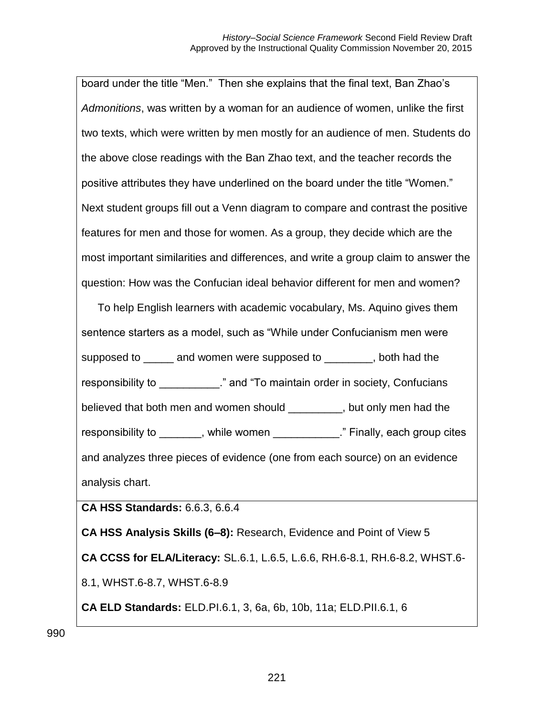board under the title "Men." Then she explains that the final text, Ban Zhao's *Admonitions*, was written by a woman for an audience of women, unlike the first two texts, which were written by men mostly for an audience of men. Students do the above close readings with the Ban Zhao text, and the teacher records the positive attributes they have underlined on the board under the title "Women." Next student groups fill out a Venn diagram to compare and contrast the positive features for men and those for women. As a group, they decide which are the most important similarities and differences, and write a group claim to answer the question: How was the Confucian ideal behavior different for men and women?

To help English learners with academic vocabulary, Ms. Aquino gives them sentence starters as a model, such as "While under Confucianism men were supposed to \_\_\_\_\_ and women were supposed to \_\_\_\_\_\_\_, both had the responsibility to \_\_\_\_\_\_\_\_\_\_." and "To maintain order in society, Confucians believed that both men and women should \_\_\_\_\_\_\_\_\_, but only men had the responsibility to more intervened and the women while women with the same intervention of the second vertex re and analyzes three pieces of evidence (one from each source) on an evidence analysis chart.

**CA HSS Standards:** 6.6.3, 6.6.4

**CA HSS Analysis Skills (6–8):** Research, Evidence and Point of View 5 **CA CCSS for ELA/Literacy:** SL.6.1, L.6.5, L.6.6, RH.6-8.1, RH.6-8.2, WHST.6- 8.1, WHST.6-8.7, WHST.6-8.9 **CA ELD Standards:** ELD.PI.6.1, 3, 6a, 6b, 10b, 11a; ELD.PII.6.1, 6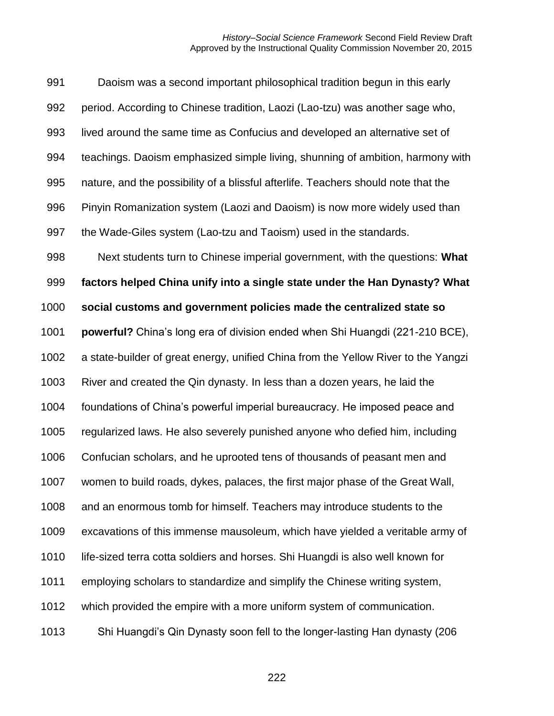#### *History–Social Science Framework* Second Field Review Draft Approved by the Instructional Quality Commission November 20, 2015

 Daoism was a second important philosophical tradition begun in this early period. According to Chinese tradition, Laozi (Lao-tzu) was another sage who, lived around the same time as Confucius and developed an alternative set of teachings. Daoism emphasized simple living, shunning of ambition, harmony with nature, and the possibility of a blissful afterlife. Teachers should note that the Pinyin Romanization system (Laozi and Daoism) is now more widely used than the Wade-Giles system (Lao-tzu and Taoism) used in the standards. Next students turn to Chinese imperial government, with the questions: **What factors helped China unify into a single state under the Han Dynasty? What social customs and government policies made the centralized state so powerful?** China's long era of division ended when Shi Huangdi (221-210 BCE), a state-builder of great energy, unified China from the Yellow River to the Yangzi River and created the Qin dynasty. In less than a dozen years, he laid the foundations of China's powerful imperial bureaucracy. He imposed peace and regularized laws. He also severely punished anyone who defied him, including Confucian scholars, and he uprooted tens of thousands of peasant men and women to build roads, dykes, palaces, the first major phase of the Great Wall, and an enormous tomb for himself. Teachers may introduce students to the excavations of this immense mausoleum, which have yielded a veritable army of life-sized terra cotta soldiers and horses. Shi Huangdi is also well known for employing scholars to standardize and simplify the Chinese writing system, which provided the empire with a more uniform system of communication. Shi Huangdi's Qin Dynasty soon fell to the longer-lasting Han dynasty (206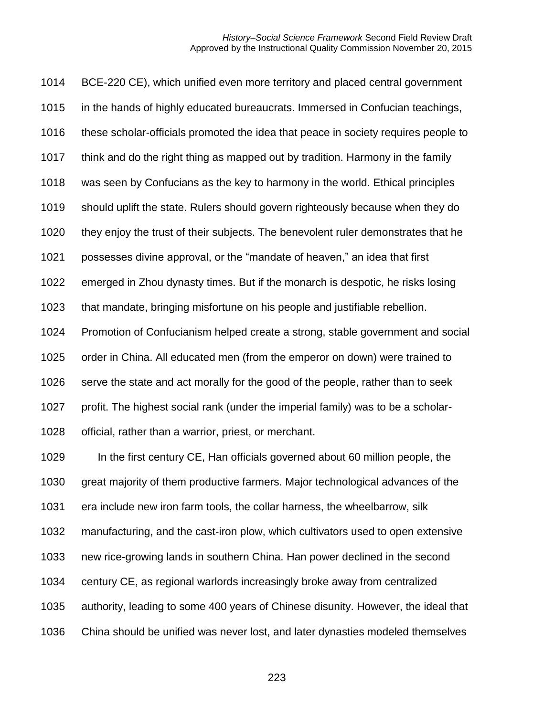BCE-220 CE), which unified even more territory and placed central government in the hands of highly educated bureaucrats. Immersed in Confucian teachings, these scholar-officials promoted the idea that peace in society requires people to think and do the right thing as mapped out by tradition. Harmony in the family was seen by Confucians as the key to harmony in the world. Ethical principles should uplift the state. Rulers should govern righteously because when they do they enjoy the trust of their subjects. The benevolent ruler demonstrates that he possesses divine approval, or the "mandate of heaven," an idea that first emerged in Zhou dynasty times. But if the monarch is despotic, he risks losing that mandate, bringing misfortune on his people and justifiable rebellion. Promotion of Confucianism helped create a strong, stable government and social order in China. All educated men (from the emperor on down) were trained to serve the state and act morally for the good of the people, rather than to seek profit. The highest social rank (under the imperial family) was to be a scholar- official, rather than a warrior, priest, or merchant. In the first century CE, Han officials governed about 60 million people, the great majority of them productive farmers. Major technological advances of the era include new iron farm tools, the collar harness, the wheelbarrow, silk manufacturing, and the cast-iron plow, which cultivators used to open extensive new rice-growing lands in southern China. Han power declined in the second century CE, as regional warlords increasingly broke away from centralized authority, leading to some 400 years of Chinese disunity. However, the ideal that China should be unified was never lost, and later dynasties modeled themselves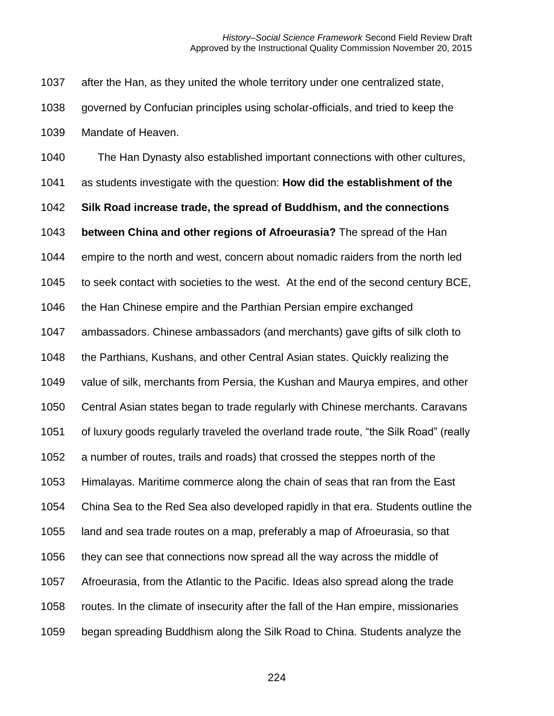after the Han, as they united the whole territory under one centralized state,

 governed by Confucian principles using scholar-officials, and tried to keep the Mandate of Heaven.

 The Han Dynasty also established important connections with other cultures, as students investigate with the question: **How did the establishment of the Silk Road increase trade, the spread of Buddhism, and the connections between China and other regions of Afroeurasia?** The spread of the Han empire to the north and west, concern about nomadic raiders from the north led to seek contact with societies to the west. At the end of the second century BCE, the Han Chinese empire and the Parthian Persian empire exchanged ambassadors. Chinese ambassadors (and merchants) gave gifts of silk cloth to the Parthians, Kushans, and other Central Asian states. Quickly realizing the value of silk, merchants from Persia, the Kushan and Maurya empires, and other Central Asian states began to trade regularly with Chinese merchants. Caravans of luxury goods regularly traveled the overland trade route, "the Silk Road" (really a number of routes, trails and roads) that crossed the steppes north of the Himalayas. Maritime commerce along the chain of seas that ran from the East China Sea to the Red Sea also developed rapidly in that era. Students outline the land and sea trade routes on a map, preferably a map of Afroeurasia, so that they can see that connections now spread all the way across the middle of Afroeurasia, from the Atlantic to the Pacific. Ideas also spread along the trade routes. In the climate of insecurity after the fall of the Han empire, missionaries began spreading Buddhism along the Silk Road to China. Students analyze the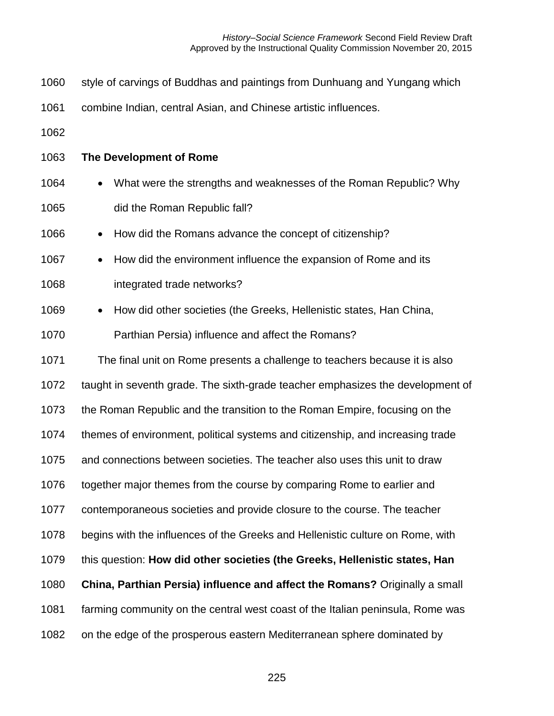- style of carvings of Buddhas and paintings from Dunhuang and Yungang which
- combine Indian, central Asian, and Chinese artistic influences.
- 
- **The Development of Rome**
- 1064 What were the strengths and weaknesses of the Roman Republic? Why did the Roman Republic fall?
- 1066 How did the Romans advance the concept of citizenship?
- 1067 How did the environment influence the expansion of Rome and its
- integrated trade networks?
- 1069 How did other societies (the Greeks, Hellenistic states, Han China,
- Parthian Persia) influence and affect the Romans?

 The final unit on Rome presents a challenge to teachers because it is also taught in seventh grade. The sixth-grade teacher emphasizes the development of the Roman Republic and the transition to the Roman Empire, focusing on the themes of environment, political systems and citizenship, and increasing trade and connections between societies. The teacher also uses this unit to draw together major themes from the course by comparing Rome to earlier and contemporaneous societies and provide closure to the course. The teacher begins with the influences of the Greeks and Hellenistic culture on Rome, with this question: **How did other societies (the Greeks, Hellenistic states, Han China, Parthian Persia) influence and affect the Romans?** Originally a small farming community on the central west coast of the Italian peninsula, Rome was on the edge of the prosperous eastern Mediterranean sphere dominated by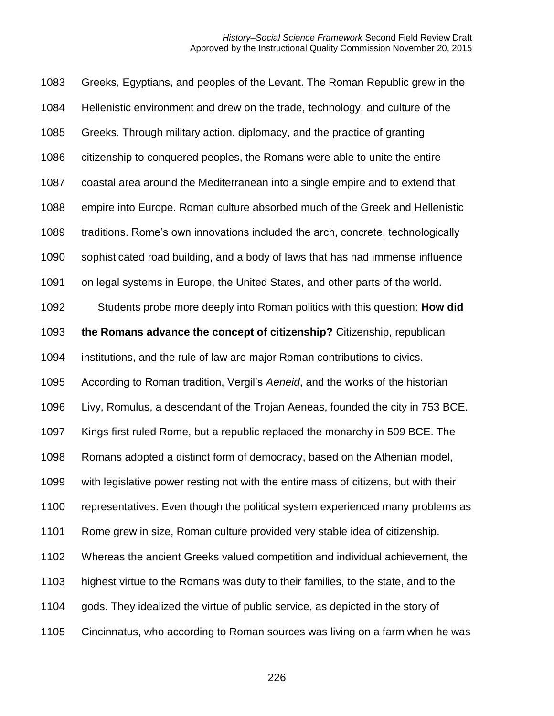Greeks, Egyptians, and peoples of the Levant. The Roman Republic grew in the Hellenistic environment and drew on the trade, technology, and culture of the Greeks. Through military action, diplomacy, and the practice of granting citizenship to conquered peoples, the Romans were able to unite the entire coastal area around the Mediterranean into a single empire and to extend that empire into Europe. Roman culture absorbed much of the Greek and Hellenistic traditions. Rome's own innovations included the arch, concrete, technologically sophisticated road building, and a body of laws that has had immense influence on legal systems in Europe, the United States, and other parts of the world. Students probe more deeply into Roman politics with this question: **How did the Romans advance the concept of citizenship?** Citizenship, republican institutions, and the rule of law are major Roman contributions to civics. According to Roman tradition, Vergil's *Aeneid*, and the works of the historian Livy, Romulus, a descendant of the Trojan Aeneas, founded the city in 753 BCE. Kings first ruled Rome, but a republic replaced the monarchy in 509 BCE. The Romans adopted a distinct form of democracy, based on the Athenian model, with legislative power resting not with the entire mass of citizens, but with their representatives. Even though the political system experienced many problems as Rome grew in size, Roman culture provided very stable idea of citizenship. Whereas the ancient Greeks valued competition and individual achievement, the highest virtue to the Romans was duty to their families, to the state, and to the gods. They idealized the virtue of public service, as depicted in the story of Cincinnatus, who according to Roman sources was living on a farm when he was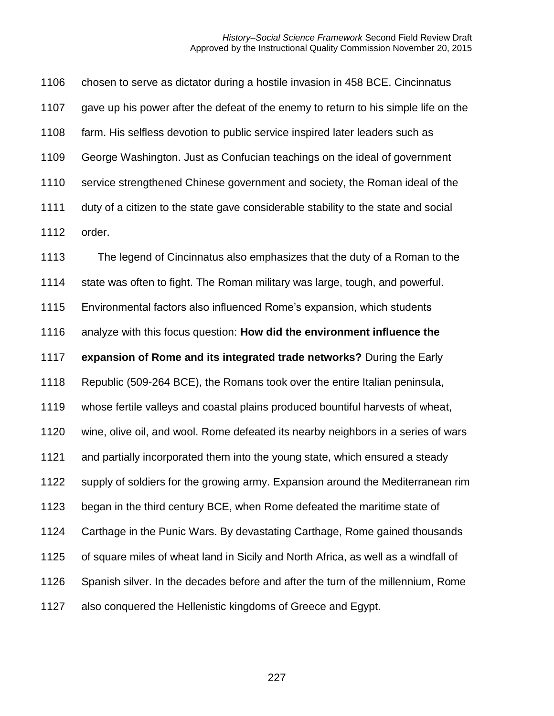chosen to serve as dictator during a hostile invasion in 458 BCE. Cincinnatus gave up his power after the defeat of the enemy to return to his simple life on the farm. His selfless devotion to public service inspired later leaders such as George Washington. Just as Confucian teachings on the ideal of government service strengthened Chinese government and society, the Roman ideal of the duty of a citizen to the state gave considerable stability to the state and social order.

 The legend of Cincinnatus also emphasizes that the duty of a Roman to the state was often to fight. The Roman military was large, tough, and powerful. Environmental factors also influenced Rome's expansion, which students analyze with this focus question: **How did the environment influence the expansion of Rome and its integrated trade networks?** During the Early Republic (509-264 BCE), the Romans took over the entire Italian peninsula, whose fertile valleys and coastal plains produced bountiful harvests of wheat, wine, olive oil, and wool. Rome defeated its nearby neighbors in a series of wars and partially incorporated them into the young state, which ensured a steady supply of soldiers for the growing army. Expansion around the Mediterranean rim began in the third century BCE, when Rome defeated the maritime state of Carthage in the Punic Wars. By devastating Carthage, Rome gained thousands of square miles of wheat land in Sicily and North Africa, as well as a windfall of Spanish silver. In the decades before and after the turn of the millennium, Rome also conquered the Hellenistic kingdoms of Greece and Egypt.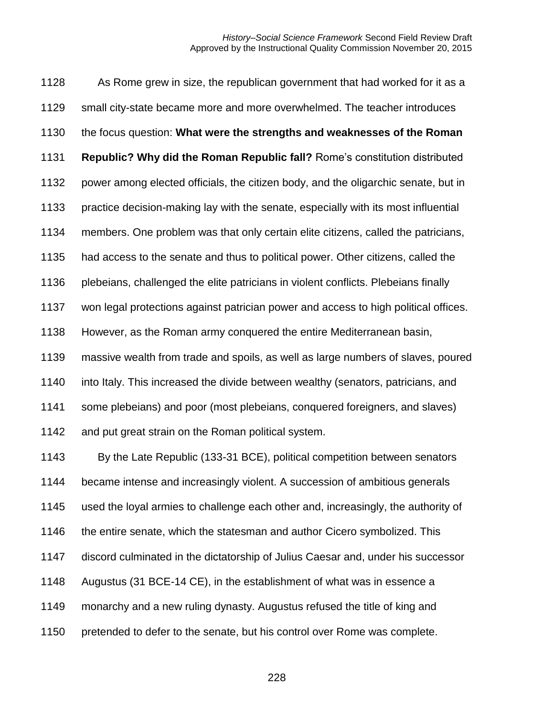As Rome grew in size, the republican government that had worked for it as a small city-state became more and more overwhelmed. The teacher introduces the focus question: **What were the strengths and weaknesses of the Roman Republic? Why did the Roman Republic fall?** Rome's constitution distributed power among elected officials, the citizen body, and the oligarchic senate, but in practice decision-making lay with the senate, especially with its most influential members. One problem was that only certain elite citizens, called the patricians, had access to the senate and thus to political power. Other citizens, called the plebeians, challenged the elite patricians in violent conflicts. Plebeians finally won legal protections against patrician power and access to high political offices. However, as the Roman army conquered the entire Mediterranean basin, massive wealth from trade and spoils, as well as large numbers of slaves, poured into Italy. This increased the divide between wealthy (senators, patricians, and some plebeians) and poor (most plebeians, conquered foreigners, and slaves) 1142 and put great strain on the Roman political system. By the Late Republic (133-31 BCE), political competition between senators became intense and increasingly violent. A succession of ambitious generals used the loyal armies to challenge each other and, increasingly, the authority of 1146 the entire senate, which the statesman and author Cicero symbolized. This discord culminated in the dictatorship of Julius Caesar and, under his successor Augustus (31 BCE-14 CE), in the establishment of what was in essence a monarchy and a new ruling dynasty. Augustus refused the title of king and pretended to defer to the senate, but his control over Rome was complete.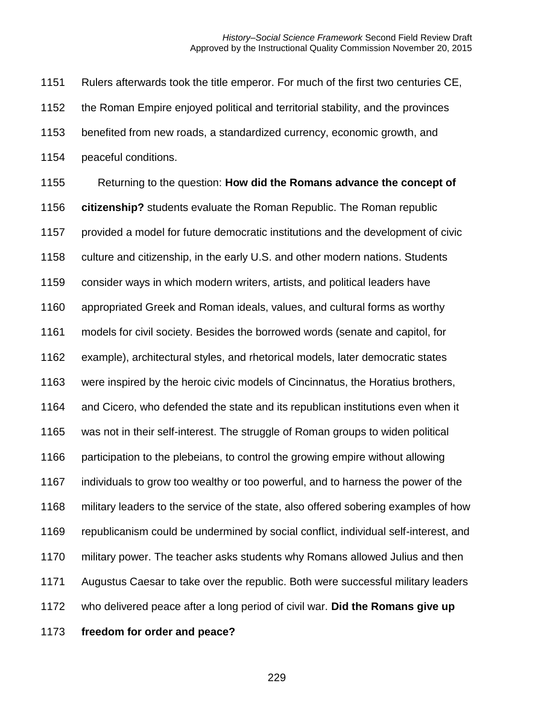Rulers afterwards took the title emperor. For much of the first two centuries CE, the Roman Empire enjoyed political and territorial stability, and the provinces benefited from new roads, a standardized currency, economic growth, and peaceful conditions. Returning to the question: **How did the Romans advance the concept of citizenship?** students evaluate the Roman Republic. The Roman republic provided a model for future democratic institutions and the development of civic culture and citizenship, in the early U.S. and other modern nations. Students consider ways in which modern writers, artists, and political leaders have appropriated Greek and Roman ideals, values, and cultural forms as worthy models for civil society. Besides the borrowed words (senate and capitol, for example), architectural styles, and rhetorical models, later democratic states were inspired by the heroic civic models of Cincinnatus, the Horatius brothers, and Cicero, who defended the state and its republican institutions even when it was not in their self-interest. The struggle of Roman groups to widen political participation to the plebeians, to control the growing empire without allowing individuals to grow too wealthy or too powerful, and to harness the power of the military leaders to the service of the state, also offered sobering examples of how republicanism could be undermined by social conflict, individual self-interest, and military power. The teacher asks students why Romans allowed Julius and then Augustus Caesar to take over the republic. Both were successful military leaders who delivered peace after a long period of civil war. **Did the Romans give up freedom for order and peace?**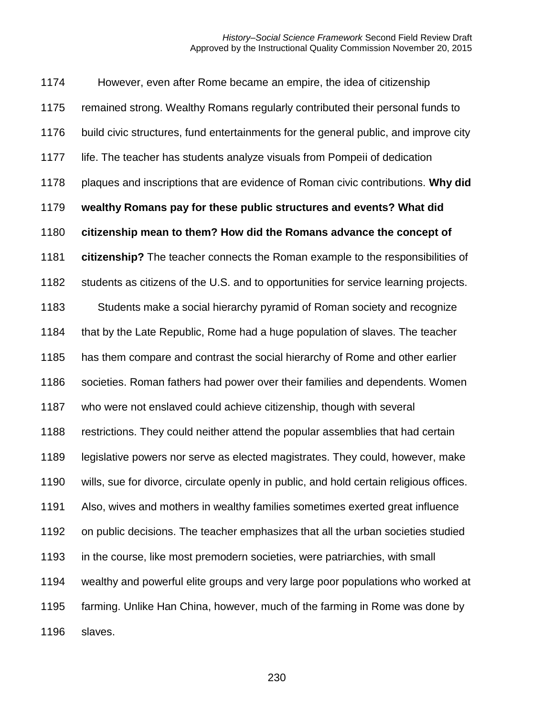However, even after Rome became an empire, the idea of citizenship remained strong. Wealthy Romans regularly contributed their personal funds to build civic structures, fund entertainments for the general public, and improve city life. The teacher has students analyze visuals from Pompeii of dedication plaques and inscriptions that are evidence of Roman civic contributions. **Why did wealthy Romans pay for these public structures and events? What did citizenship mean to them? How did the Romans advance the concept of citizenship?** The teacher connects the Roman example to the responsibilities of students as citizens of the U.S. and to opportunities for service learning projects. Students make a social hierarchy pyramid of Roman society and recognize that by the Late Republic, Rome had a huge population of slaves. The teacher has them compare and contrast the social hierarchy of Rome and other earlier societies. Roman fathers had power over their families and dependents. Women who were not enslaved could achieve citizenship, though with several restrictions. They could neither attend the popular assemblies that had certain legislative powers nor serve as elected magistrates. They could, however, make wills, sue for divorce, circulate openly in public, and hold certain religious offices. Also, wives and mothers in wealthy families sometimes exerted great influence on public decisions. The teacher emphasizes that all the urban societies studied in the course, like most premodern societies, were patriarchies, with small wealthy and powerful elite groups and very large poor populations who worked at farming. Unlike Han China, however, much of the farming in Rome was done by slaves.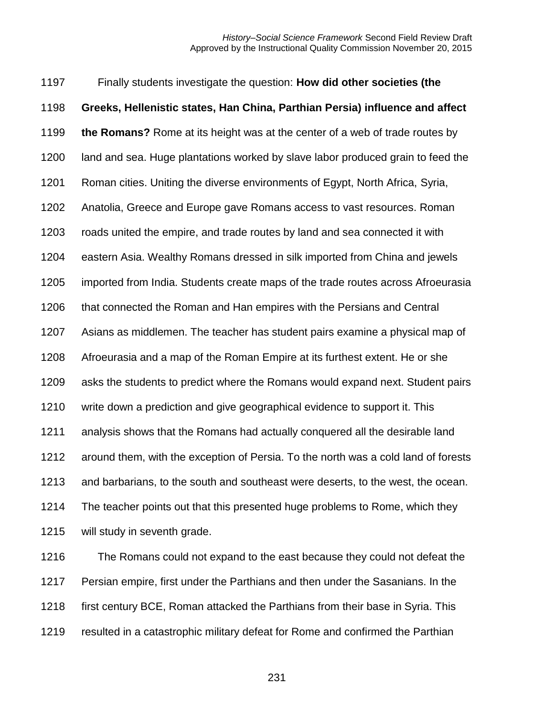Finally students investigate the question: **How did other societies (the Greeks, Hellenistic states, Han China, Parthian Persia) influence and affect the Romans?** Rome at its height was at the center of a web of trade routes by land and sea. Huge plantations worked by slave labor produced grain to feed the Roman cities. Uniting the diverse environments of Egypt, North Africa, Syria, Anatolia, Greece and Europe gave Romans access to vast resources. Roman roads united the empire, and trade routes by land and sea connected it with eastern Asia. Wealthy Romans dressed in silk imported from China and jewels imported from India. Students create maps of the trade routes across Afroeurasia that connected the Roman and Han empires with the Persians and Central Asians as middlemen. The teacher has student pairs examine a physical map of Afroeurasia and a map of the Roman Empire at its furthest extent. He or she asks the students to predict where the Romans would expand next. Student pairs write down a prediction and give geographical evidence to support it. This analysis shows that the Romans had actually conquered all the desirable land around them, with the exception of Persia. To the north was a cold land of forests and barbarians, to the south and southeast were deserts, to the west, the ocean. The teacher points out that this presented huge problems to Rome, which they will study in seventh grade.

 The Romans could not expand to the east because they could not defeat the Persian empire, first under the Parthians and then under the Sasanians. In the 1218 first century BCE, Roman attacked the Parthians from their base in Syria. This resulted in a catastrophic military defeat for Rome and confirmed the Parthian